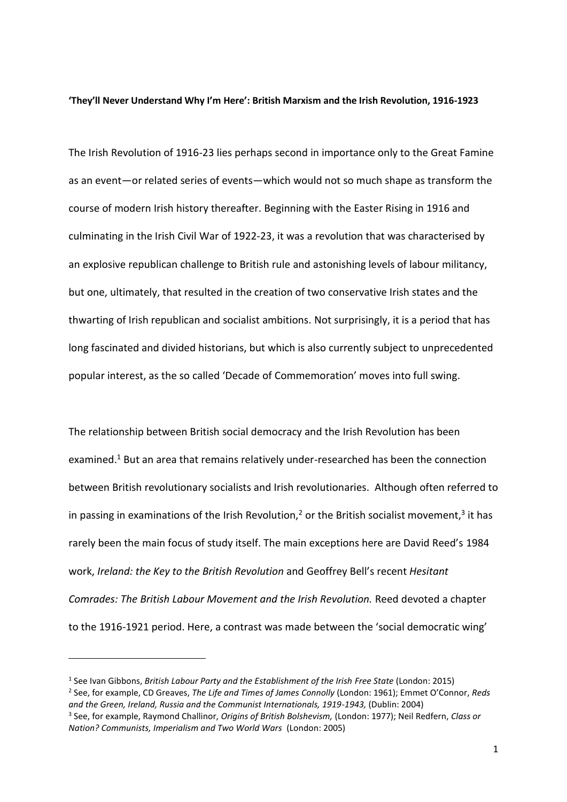#### **'They'll Never Understand Why I'm Here': British Marxism and the Irish Revolution, 1916-1923**

The Irish Revolution of 1916-23 lies perhaps second in importance only to the Great Famine as an event—or related series of events—which would not so much shape as transform the course of modern Irish history thereafter. Beginning with the Easter Rising in 1916 and culminating in the Irish Civil War of 1922-23, it was a revolution that was characterised by an explosive republican challenge to British rule and astonishing levels of labour militancy, but one, ultimately, that resulted in the creation of two conservative Irish states and the thwarting of Irish republican and socialist ambitions. Not surprisingly, it is a period that has long fascinated and divided historians, but which is also currently subject to unprecedented popular interest, as the so called 'Decade of Commemoration' moves into full swing.

The relationship between British social democracy and the Irish Revolution has been examined.<sup>1</sup> But an area that remains relatively under-researched has been the connection between British revolutionary socialists and Irish revolutionaries. Although often referred to in passing in examinations of the Irish Revolution,<sup>2</sup> or the British socialist movement,<sup>3</sup> it has rarely been the main focus of study itself. The main exceptions here are David Reed's 1984 work, *Ireland: the Key to the British Revolution* and Geoffrey Bell's recent *Hesitant Comrades: The British Labour Movement and the Irish Revolution.* Reed devoted a chapter to the 1916-1921 period. Here, a contrast was made between the 'social democratic wing'

<sup>1</sup> See Ivan Gibbons, *British Labour Party and the Establishment of the Irish Free State* (London: 2015) 2 See, for example, CD Greaves, *The Life and Times of James Connolly* (London: 1961); Emmet O'Connor, *Reds and the Green, Ireland, Russia and the Communist Internationals, 1919-1943,* (Dublin: 2004) 3 See, for example, Raymond Challinor, *Origins of British Bolshevism,* (London: 1977); Neil Redfern, *Class or Nation? Communists, Imperialism and Two World Wars* (London: 2005)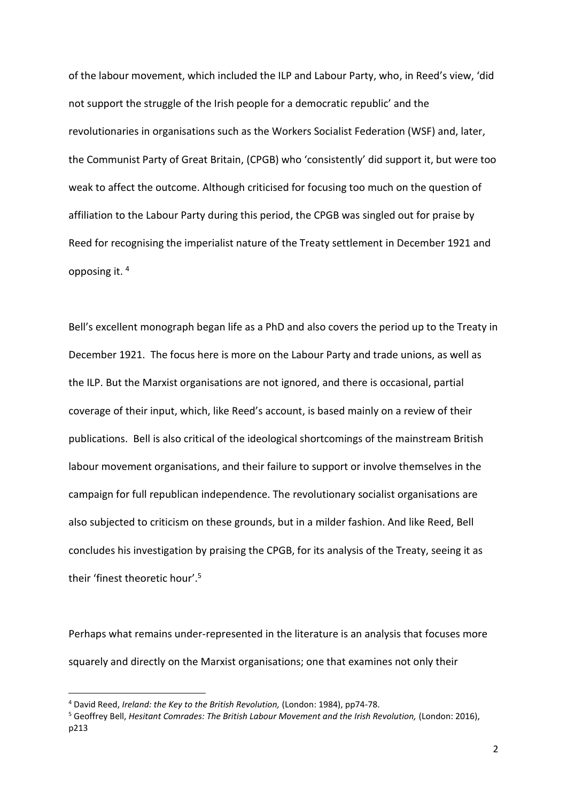of the labour movement, which included the ILP and Labour Party, who, in Reed's view, 'did not support the struggle of the Irish people for a democratic republic' and the revolutionaries in organisations such as the Workers Socialist Federation (WSF) and, later, the Communist Party of Great Britain, (CPGB) who 'consistently' did support it, but were too weak to affect the outcome. Although criticised for focusing too much on the question of affiliation to the Labour Party during this period, the CPGB was singled out for praise by Reed for recognising the imperialist nature of the Treaty settlement in December 1921 and opposing it. <sup>4</sup>

Bell's excellent monograph began life as a PhD and also covers the period up to the Treaty in December 1921. The focus here is more on the Labour Party and trade unions, as well as the ILP. But the Marxist organisations are not ignored, and there is occasional, partial coverage of their input, which, like Reed's account, is based mainly on a review of their publications. Bell is also critical of the ideological shortcomings of the mainstream British labour movement organisations, and their failure to support or involve themselves in the campaign for full republican independence. The revolutionary socialist organisations are also subjected to criticism on these grounds, but in a milder fashion. And like Reed, Bell concludes his investigation by praising the CPGB, for its analysis of the Treaty, seeing it as their 'finest theoretic hour'. 5

Perhaps what remains under-represented in the literature is an analysis that focuses more squarely and directly on the Marxist organisations; one that examines not only their

<sup>4</sup> David Reed, *Ireland: the Key to the British Revolution,* (London: 1984), pp74-78.

<sup>&</sup>lt;sup>5</sup> Geoffrey Bell, *Hesitant Comrades: The British Labour Movement and the Irish Revolution, (London: 2016),* p213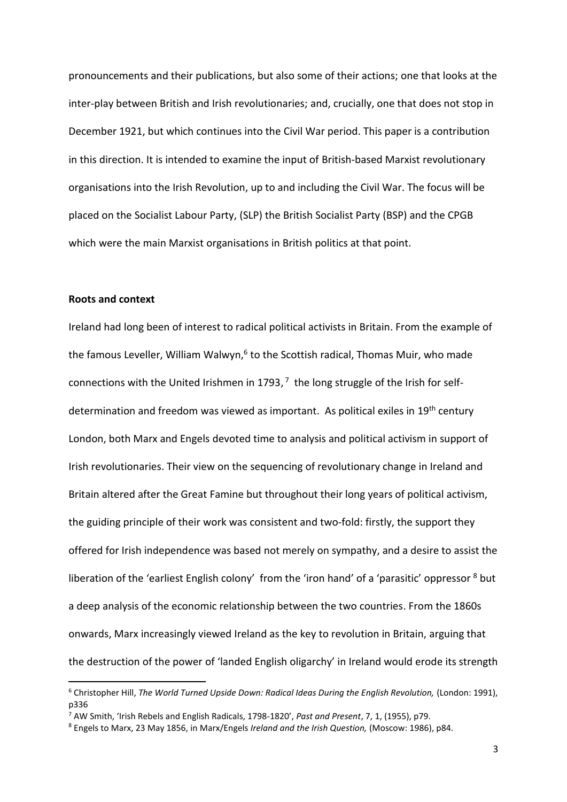pronouncements and their publications, but also some of their actions; one that looks at the inter-play between British and Irish revolutionaries; and, crucially, one that does not stop in December 1921, but which continues into the Civil War period. This paper is a contribution in this direction. It is intended to examine the input of British-based Marxist revolutionary organisations into the Irish Revolution, up to and including the Civil War. The focus will be placed on the Socialist Labour Party, (SLP) the British Socialist Party (BSP) and the CPGB which were the main Marxist organisations in British politics at that point.

## **Roots and context**

**.** 

Ireland had long been of interest to radical political activists in Britain. From the example of the famous Leveller, William Walwyn,<sup>6</sup> to the Scottish radical, Thomas Muir, who made connections with the United Irishmen in 1793, $7$  the long struggle of the Irish for selfdetermination and freedom was viewed as important. As political exiles in 19<sup>th</sup> century London, both Marx and Engels devoted time to analysis and political activism in support of Irish revolutionaries. Their view on the sequencing of revolutionary change in Ireland and Britain altered after the Great Famine but throughout their long years of political activism, the guiding principle of their work was consistent and two-fold: firstly, the support they offered for Irish independence was based not merely on sympathy, and a desire to assist the liberation of the 'earliest English colony' from the 'iron hand' of a 'parasitic' oppressor <sup>8</sup> but a deep analysis of the economic relationship between the two countries. From the 1860s onwards, Marx increasingly viewed Ireland as the key to revolution in Britain, arguing that the destruction of the power of 'landed English oligarchy' in Ireland would erode its strength

<sup>&</sup>lt;sup>6</sup> Christopher Hill, *The World Turned Upside Down: Radical Ideas During the English Revolution, (London: 1991),* p336

<sup>7</sup> AW Smith, 'Irish Rebels and English Radicals, 1798-1820', *Past and Present*, 7, 1, (1955), p79.

<sup>8</sup> Engels to Marx, 23 May 1856, in Marx/Engels *Ireland and the Irish Question,* (Moscow: 1986), p84.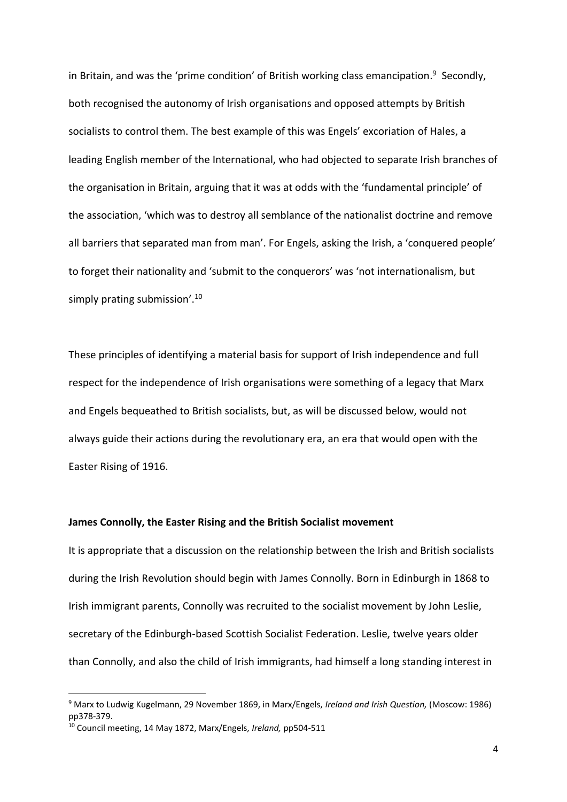in Britain, and was the 'prime condition' of British working class emancipation.<sup>9</sup> Secondly, both recognised the autonomy of Irish organisations and opposed attempts by British socialists to control them. The best example of this was Engels' excoriation of Hales, a leading English member of the International, who had objected to separate Irish branches of the organisation in Britain, arguing that it was at odds with the 'fundamental principle' of the association, 'which was to destroy all semblance of the nationalist doctrine and remove all barriers that separated man from man'. For Engels, asking the Irish, a 'conquered people' to forget their nationality and 'submit to the conquerors' was 'not internationalism, but simply prating submission'.<sup>10</sup>

These principles of identifying a material basis for support of Irish independence and full respect for the independence of Irish organisations were something of a legacy that Marx and Engels bequeathed to British socialists, but, as will be discussed below, would not always guide their actions during the revolutionary era, an era that would open with the Easter Rising of 1916.

## **James Connolly, the Easter Rising and the British Socialist movement**

It is appropriate that a discussion on the relationship between the Irish and British socialists during the Irish Revolution should begin with James Connolly. Born in Edinburgh in 1868 to Irish immigrant parents, Connolly was recruited to the socialist movement by John Leslie, secretary of the Edinburgh-based Scottish Socialist Federation. Leslie, twelve years older than Connolly, and also the child of Irish immigrants, had himself a long standing interest in

<sup>9</sup> Marx to Ludwig Kugelmann, 29 November 1869, in Marx/Engels, *Ireland and Irish Question,* (Moscow: 1986) pp378-379.

<sup>10</sup> Council meeting, 14 May 1872, Marx/Engels, *Ireland,* pp504-511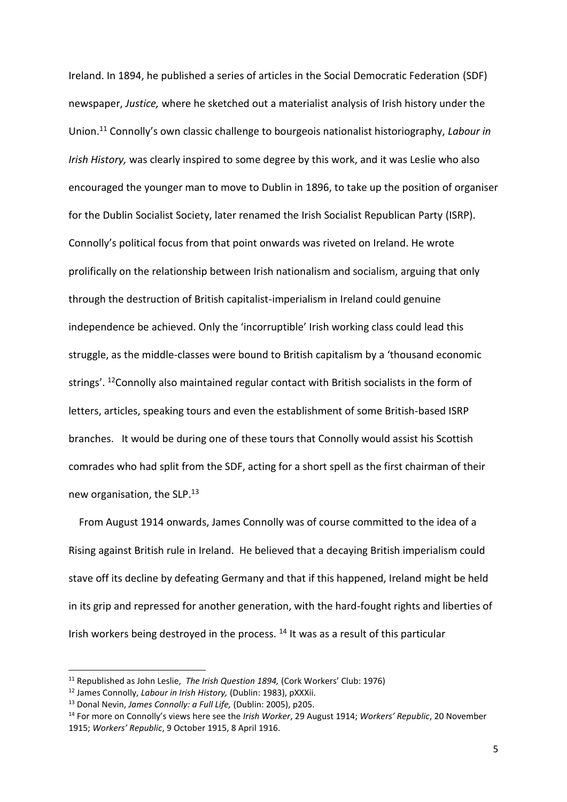Ireland. In 1894, he published a series of articles in the Social Democratic Federation (SDF) newspaper, *Justice,* where he sketched out a materialist analysis of Irish history under the Union.<sup>11</sup> Connolly's own classic challenge to bourgeois nationalist historiography, *Labour in Irish History,* was clearly inspired to some degree by this work, and it was Leslie who also encouraged the younger man to move to Dublin in 1896, to take up the position of organiser for the Dublin Socialist Society, later renamed the Irish Socialist Republican Party (ISRP). Connolly's political focus from that point onwards was riveted on Ireland. He wrote prolifically on the relationship between Irish nationalism and socialism, arguing that only through the destruction of British capitalist-imperialism in Ireland could genuine independence be achieved. Only the 'incorruptible' Irish working class could lead this struggle, as the middle-classes were bound to British capitalism by a 'thousand economic strings'. <sup>12</sup>Connolly also maintained regular contact with British socialists in the form of letters, articles, speaking tours and even the establishment of some British-based ISRP branches. It would be during one of these tours that Connolly would assist his Scottish comrades who had split from the SDF, acting for a short spell as the first chairman of their new organisation, the SLP.<sup>13</sup>

 From August 1914 onwards, James Connolly was of course committed to the idea of a Rising against British rule in Ireland. He believed that a decaying British imperialism could stave off its decline by defeating Germany and that if this happened, Ireland might be held in its grip and repressed for another generation, with the hard-fought rights and liberties of Irish workers being destroyed in the process.  $14$  It was as a result of this particular

<sup>11</sup> Republished as John Leslie, *The Irish Question 1894,* (Cork Workers' Club: 1976)

<sup>12</sup> James Connolly, *Labour in Irish History,* (Dublin: 1983), pXXXii.

<sup>13</sup> Donal Nevin, *James Connolly: a Full Life,* (Dublin: 2005), p205.

<sup>14</sup> For more on Connolly's views here see the *Irish Worker*, 29 August 1914; *Workers' Republic*, 20 November 1915; *Workers' Republic*, 9 October 1915, 8 April 1916.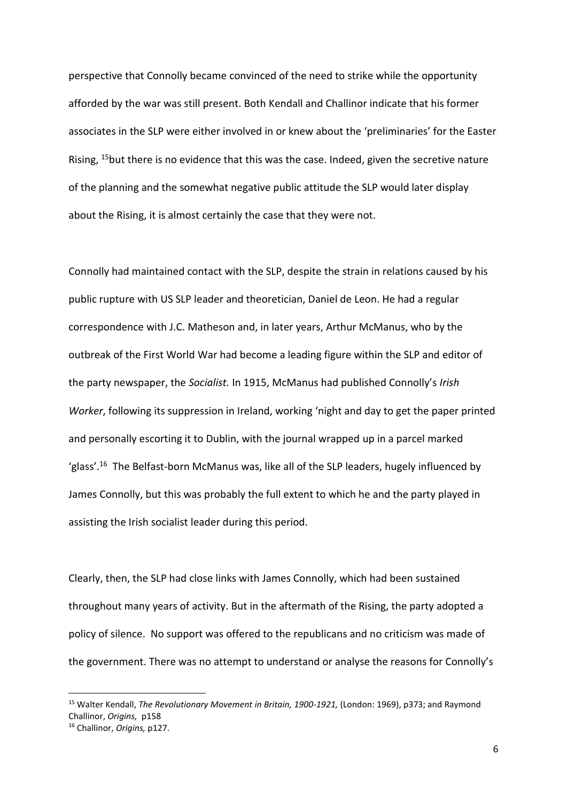perspective that Connolly became convinced of the need to strike while the opportunity afforded by the war was still present. Both Kendall and Challinor indicate that his former associates in the SLP were either involved in or knew about the 'preliminaries' for the Easter Rising, <sup>15</sup>but there is no evidence that this was the case. Indeed, given the secretive nature of the planning and the somewhat negative public attitude the SLP would later display about the Rising, it is almost certainly the case that they were not.

Connolly had maintained contact with the SLP, despite the strain in relations caused by his public rupture with US SLP leader and theoretician, Daniel de Leon. He had a regular correspondence with J.C. Matheson and, in later years, Arthur McManus, who by the outbreak of the First World War had become a leading figure within the SLP and editor of the party newspaper, the *Socialist.* In 1915, McManus had published Connolly's *Irish Worker*, following its suppression in Ireland, working 'night and day to get the paper printed and personally escorting it to Dublin, with the journal wrapped up in a parcel marked 'glass'.<sup>16</sup> The Belfast-born McManus was, like all of the SLP leaders, hugely influenced by James Connolly, but this was probably the full extent to which he and the party played in assisting the Irish socialist leader during this period.

Clearly, then, the SLP had close links with James Connolly, which had been sustained throughout many years of activity. But in the aftermath of the Rising, the party adopted a policy of silence. No support was offered to the republicans and no criticism was made of the government. There was no attempt to understand or analyse the reasons for Connolly's

<sup>15</sup> Walter Kendall, *The Revolutionary Movement in Britain, 1900-1921,* (London: 1969), p373; and Raymond Challinor, *Origins,* p158

<sup>16</sup> Challinor, *Origins,* p127.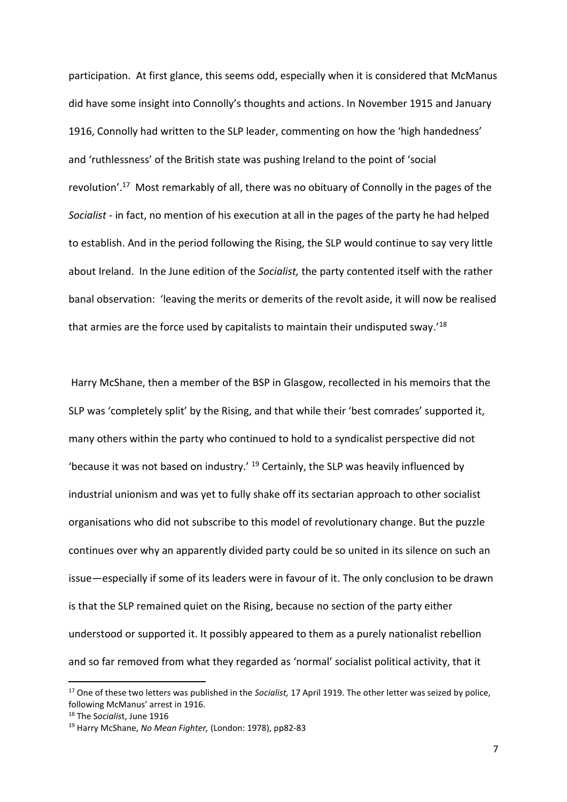participation. At first glance, this seems odd, especially when it is considered that McManus did have some insight into Connolly's thoughts and actions. In November 1915 and January 1916, Connolly had written to the SLP leader, commenting on how the 'high handedness' and 'ruthlessness' of the British state was pushing Ireland to the point of 'social revolution'.<sup>17</sup> Most remarkably of all, there was no obituary of Connolly in the pages of the *Socialist -* in fact, no mention of his execution at all in the pages of the party he had helped to establish. And in the period following the Rising, the SLP would continue to say very little about Ireland. In the June edition of the *Socialist,* the party contented itself with the rather banal observation: 'leaving the merits or demerits of the revolt aside, it will now be realised that armies are the force used by capitalists to maintain their undisputed sway.'<sup>18</sup>

 Harry McShane, then a member of the BSP in Glasgow, recollected in his memoirs that the SLP was 'completely split' by the Rising, and that while their 'best comrades' supported it, many others within the party who continued to hold to a syndicalist perspective did not 'because it was not based on industry.' <sup>19</sup> Certainly, the SLP was heavily influenced by industrial unionism and was yet to fully shake off its sectarian approach to other socialist organisations who did not subscribe to this model of revolutionary change. But the puzzle continues over why an apparently divided party could be so united in its silence on such an issue—especially if some of its leaders were in favour of it. The only conclusion to be drawn is that the SLP remained quiet on the Rising, because no section of the party either understood or supported it. It possibly appeared to them as a purely nationalist rebellion and so far removed from what they regarded as 'normal' socialist political activity, that it

<sup>17</sup> One of these two letters was published in the *Socialist,* 17 April 1919. The other letter was seized by police, following McManus' arrest in 1916.

<sup>18</sup> The S*ocialis*t, June 1916

<sup>19</sup> Harry McShane, *No Mean Fighter,* (London: 1978), pp82-83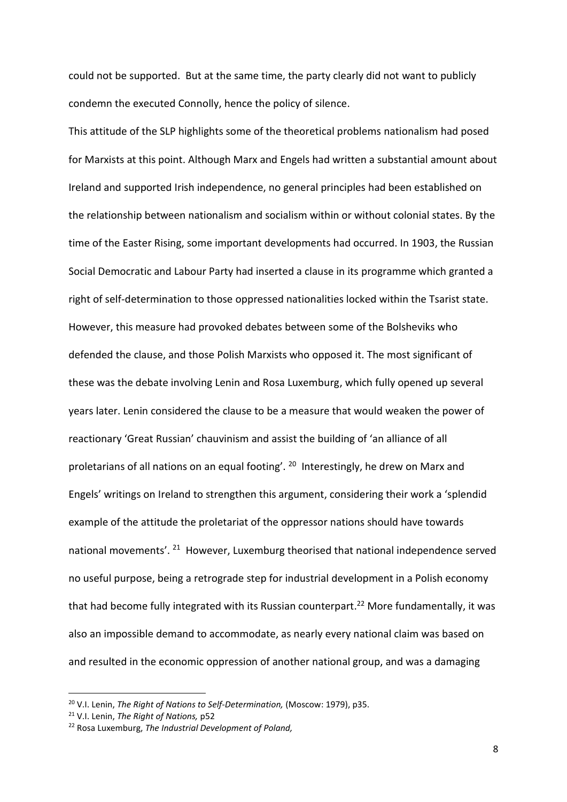could not be supported. But at the same time, the party clearly did not want to publicly condemn the executed Connolly, hence the policy of silence.

This attitude of the SLP highlights some of the theoretical problems nationalism had posed for Marxists at this point. Although Marx and Engels had written a substantial amount about Ireland and supported Irish independence, no general principles had been established on the relationship between nationalism and socialism within or without colonial states. By the time of the Easter Rising, some important developments had occurred. In 1903, the Russian Social Democratic and Labour Party had inserted a clause in its programme which granted a right of self-determination to those oppressed nationalities locked within the Tsarist state. However, this measure had provoked debates between some of the Bolsheviks who defended the clause, and those Polish Marxists who opposed it. The most significant of these was the debate involving Lenin and Rosa Luxemburg, which fully opened up several years later. Lenin considered the clause to be a measure that would weaken the power of reactionary 'Great Russian' chauvinism and assist the building of 'an alliance of all proletarians of all nations on an equal footing'. <sup>20</sup> Interestingly, he drew on Marx and Engels' writings on Ireland to strengthen this argument, considering their work a 'splendid example of the attitude the proletariat of the oppressor nations should have towards national movements'. <sup>21</sup> However, Luxemburg theorised that national independence served no useful purpose, being a retrograde step for industrial development in a Polish economy that had become fully integrated with its Russian counterpart.<sup>22</sup> More fundamentally, it was also an impossible demand to accommodate, as nearly every national claim was based on and resulted in the economic oppression of another national group, and was a damaging

<sup>20</sup> V.I. Lenin, *The Right of Nations to Self-Determination,* (Moscow: 1979), p35.

<sup>21</sup> V.I. Lenin, *The Right of Nations,* p52

<sup>22</sup> Rosa Luxemburg, *The Industrial Development of Poland,*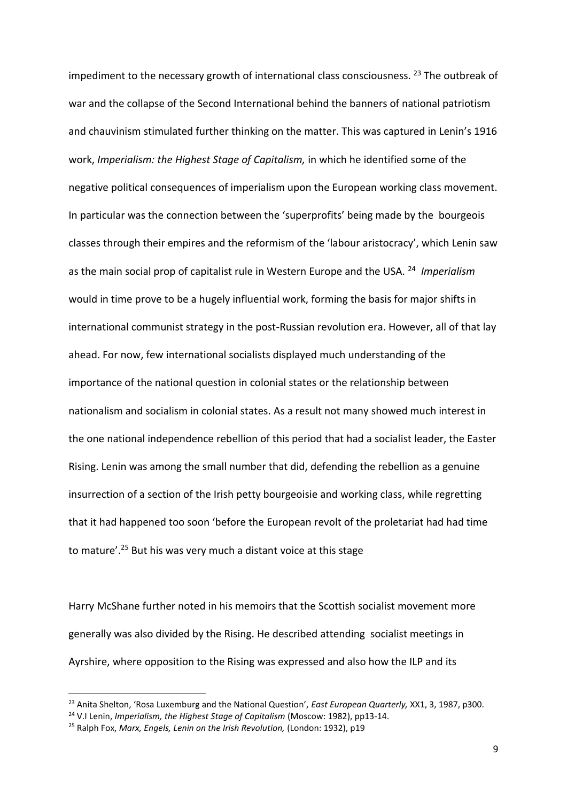impediment to the necessary growth of international class consciousness.  $^{23}$  The outbreak of war and the collapse of the Second International behind the banners of national patriotism and chauvinism stimulated further thinking on the matter. This was captured in Lenin's 1916 work, *Imperialism: the Highest Stage of Capitalism,* in which he identified some of the negative political consequences of imperialism upon the European working class movement. In particular was the connection between the 'superprofits' being made by the bourgeois classes through their empires and the reformism of the 'labour aristocracy', which Lenin saw as the main social prop of capitalist rule in Western Europe and the USA. <sup>24</sup> *Imperialism*  would in time prove to be a hugely influential work, forming the basis for major shifts in international communist strategy in the post-Russian revolution era. However, all of that lay ahead. For now, few international socialists displayed much understanding of the importance of the national question in colonial states or the relationship between nationalism and socialism in colonial states. As a result not many showed much interest in the one national independence rebellion of this period that had a socialist leader, the Easter Rising. Lenin was among the small number that did, defending the rebellion as a genuine insurrection of a section of the Irish petty bourgeoisie and working class, while regretting that it had happened too soon 'before the European revolt of the proletariat had had time to mature'.<sup>25</sup> But his was very much a distant voice at this stage

Harry McShane further noted in his memoirs that the Scottish socialist movement more generally was also divided by the Rising. He described attending socialist meetings in Ayrshire, where opposition to the Rising was expressed and also how the ILP and its

<sup>23</sup> Anita Shelton, 'Rosa Luxemburg and the National Question', *East European Quarterly,* XX1, 3, 1987, p300.

<sup>24</sup> V.I Lenin, *Imperialism, the Highest Stage of Capitalism* (Moscow: 1982), pp13-14.

<sup>25</sup> Ralph Fox, *Marx, Engels, Lenin on the Irish Revolution,* (London: 1932), p19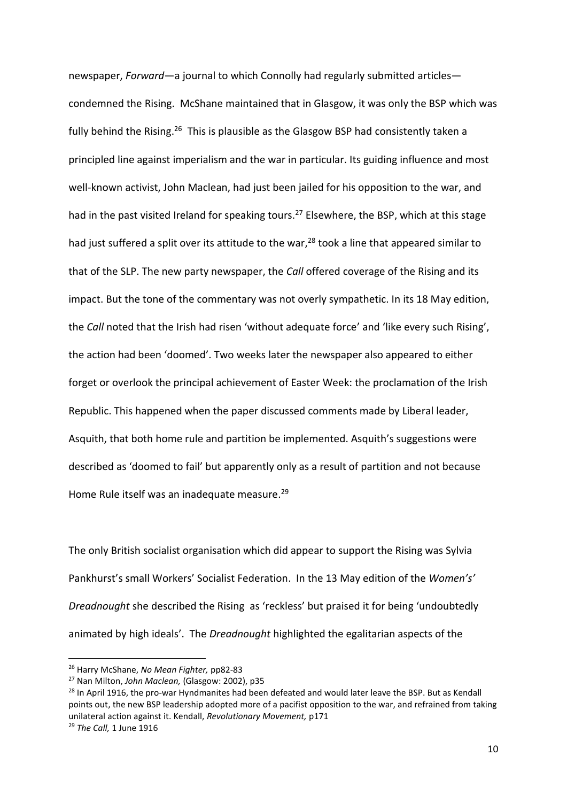newspaper, *Forward*—a journal to which Connolly had regularly submitted articles condemned the Rising. McShane maintained that in Glasgow, it was only the BSP which was fully behind the Rising.<sup>26</sup> This is plausible as the Glasgow BSP had consistently taken a principled line against imperialism and the war in particular. Its guiding influence and most well-known activist, John Maclean, had just been jailed for his opposition to the war, and had in the past visited Ireland for speaking tours.<sup>27</sup> Elsewhere, the BSP, which at this stage had just suffered a split over its attitude to the war,<sup>28</sup> took a line that appeared similar to that of the SLP. The new party newspaper, the *Call* offered coverage of the Rising and its impact. But the tone of the commentary was not overly sympathetic. In its 18 May edition, the *Call* noted that the Irish had risen 'without adequate force' and 'like every such Rising', the action had been 'doomed'. Two weeks later the newspaper also appeared to either forget or overlook the principal achievement of Easter Week: the proclamation of the Irish Republic. This happened when the paper discussed comments made by Liberal leader, Asquith, that both home rule and partition be implemented. Asquith's suggestions were described as 'doomed to fail' but apparently only as a result of partition and not because Home Rule itself was an inadequate measure.<sup>29</sup>

The only British socialist organisation which did appear to support the Rising was Sylvia Pankhurst's small Workers' Socialist Federation. In the 13 May edition of the *Women's' Dreadnought* she described the Rising as 'reckless' but praised it for being 'undoubtedly animated by high ideals'. The *Dreadnought* highlighted the egalitarian aspects of the

<sup>26</sup> Harry McShane, *No Mean Fighter,* pp82-83

<sup>27</sup> Nan Milton, *John Maclean,* (Glasgow: 2002), p35

<sup>&</sup>lt;sup>28</sup> In April 1916, the pro-war Hyndmanites had been defeated and would later leave the BSP. But as Kendall points out, the new BSP leadership adopted more of a pacifist opposition to the war, and refrained from taking unilateral action against it. Kendall, *Revolutionary Movement,* p171

<sup>29</sup> *The Call,* 1 June 1916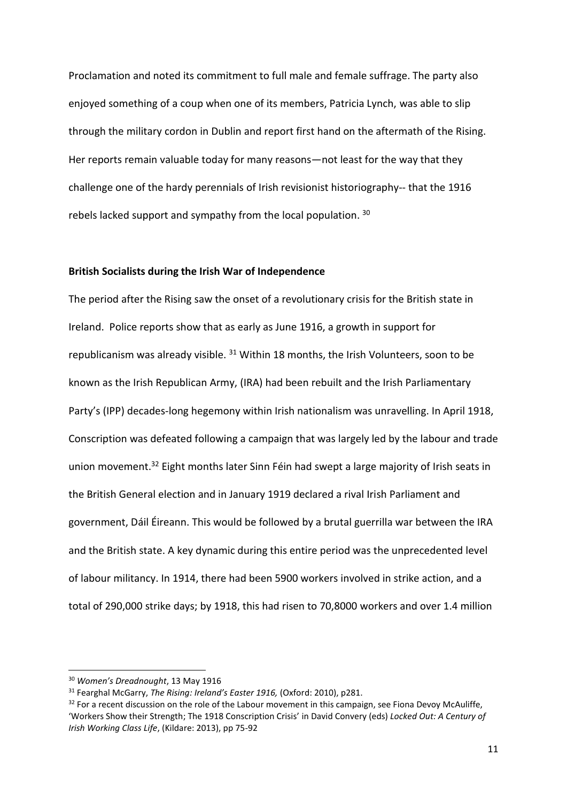Proclamation and noted its commitment to full male and female suffrage. The party also enjoyed something of a coup when one of its members, Patricia Lynch, was able to slip through the military cordon in Dublin and report first hand on the aftermath of the Rising. Her reports remain valuable today for many reasons—not least for the way that they challenge one of the hardy perennials of Irish revisionist historiography-- that the 1916 rebels lacked support and sympathy from the local population. 30

# **British Socialists during the Irish War of Independence**

The period after the Rising saw the onset of a revolutionary crisis for the British state in Ireland. Police reports show that as early as June 1916, a growth in support for republicanism was already visible.  $31$  Within 18 months, the Irish Volunteers, soon to be known as the Irish Republican Army, (IRA) had been rebuilt and the Irish Parliamentary Party's (IPP) decades-long hegemony within Irish nationalism was unravelling. In April 1918, Conscription was defeated following a campaign that was largely led by the labour and trade union movement.<sup>32</sup> Eight months later Sinn Féin had swept a large majority of Irish seats in the British General election and in January 1919 declared a rival Irish Parliament and government, Dáil Éireann. This would be followed by a brutal guerrilla war between the IRA and the British state. A key dynamic during this entire period was the unprecedented level of labour militancy. In 1914, there had been 5900 workers involved in strike action, and a total of 290,000 strike days; by 1918, this had risen to 70,8000 workers and over 1.4 million

<sup>30</sup> *Women's Dreadnought*, 13 May 1916

<sup>31</sup> Fearghal McGarry, *The Rising: Ireland's Easter 1916,* (Oxford: 2010), p281.

 $32$  For a recent discussion on the role of the Labour movement in this campaign, see Fiona Devoy McAuliffe, 'Workers Show their Strength; The 1918 Conscription Crisis' in David Convery (eds) *Locked Out: A Century of Irish Working Class Life*, (Kildare: 2013), pp 75-92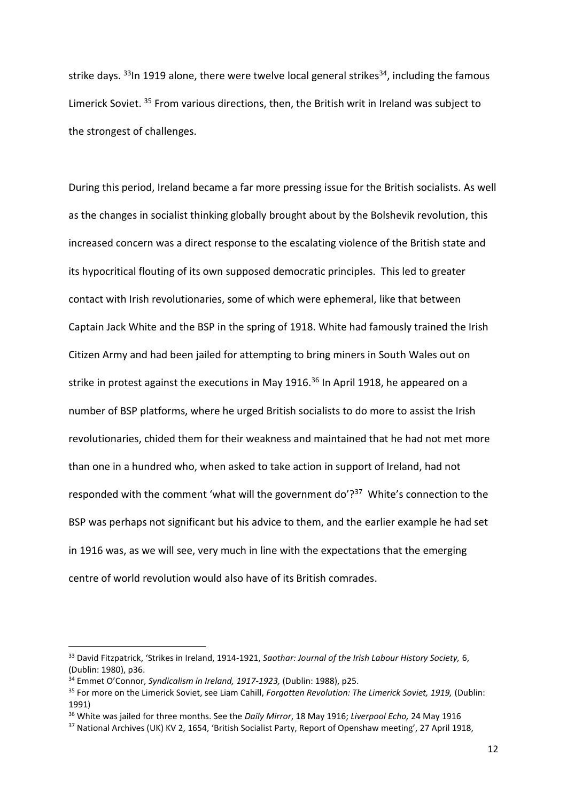strike days.  $33$ In 1919 alone, there were twelve local general strikes  $34$ , including the famous Limerick Soviet.<sup>35</sup> From various directions, then, the British writ in Ireland was subject to the strongest of challenges.

During this period, Ireland became a far more pressing issue for the British socialists. As well as the changes in socialist thinking globally brought about by the Bolshevik revolution, this increased concern was a direct response to the escalating violence of the British state and its hypocritical flouting of its own supposed democratic principles. This led to greater contact with Irish revolutionaries, some of which were ephemeral, like that between Captain Jack White and the BSP in the spring of 1918. White had famously trained the Irish Citizen Army and had been jailed for attempting to bring miners in South Wales out on strike in protest against the executions in May 1916.<sup>36</sup> In April 1918, he appeared on a number of BSP platforms, where he urged British socialists to do more to assist the Irish revolutionaries, chided them for their weakness and maintained that he had not met more than one in a hundred who, when asked to take action in support of Ireland, had not responded with the comment 'what will the government do'?<sup>37</sup> White's connection to the BSP was perhaps not significant but his advice to them, and the earlier example he had set in 1916 was, as we will see, very much in line with the expectations that the emerging centre of world revolution would also have of its British comrades.

<sup>33</sup> David Fitzpatrick, 'Strikes in Ireland, 1914-1921, *Saothar: Journal of the Irish Labour History Society,* 6, (Dublin: 1980), p36.

<sup>34</sup> Emmet O'Connor, *Syndicalism in Ireland, 1917-1923,* (Dublin: 1988), p25.

<sup>35</sup> For more on the Limerick Soviet, see Liam Cahill, *Forgotten Revolution: The Limerick Soviet, 1919,* (Dublin: 1991)

<sup>36</sup> White was jailed for three months. See the *Daily Mirror*, 18 May 1916; *Liverpool Echo,* 24 May 1916

<sup>&</sup>lt;sup>37</sup> National Archives (UK) KV 2, 1654, 'British Socialist Party, Report of Openshaw meeting', 27 April 1918,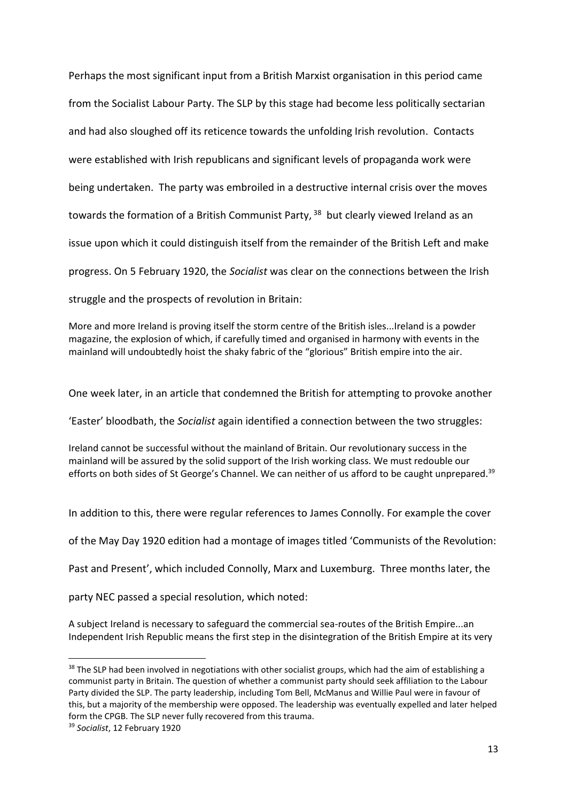Perhaps the most significant input from a British Marxist organisation in this period came from the Socialist Labour Party. The SLP by this stage had become less politically sectarian and had also sloughed off its reticence towards the unfolding Irish revolution. Contacts were established with Irish republicans and significant levels of propaganda work were being undertaken. The party was embroiled in a destructive internal crisis over the moves towards the formation of a British Communist Party, <sup>38</sup> but clearly viewed Ireland as an issue upon which it could distinguish itself from the remainder of the British Left and make progress. On 5 February 1920, the *Socialist* was clear on the connections between the Irish struggle and the prospects of revolution in Britain:

More and more Ireland is proving itself the storm centre of the British isles...Ireland is a powder magazine, the explosion of which, if carefully timed and organised in harmony with events in the mainland will undoubtedly hoist the shaky fabric of the "glorious" British empire into the air.

One week later, in an article that condemned the British for attempting to provoke another

'Easter' bloodbath, the *Socialist* again identified a connection between the two struggles:

Ireland cannot be successful without the mainland of Britain. Our revolutionary success in the mainland will be assured by the solid support of the Irish working class. We must redouble our efforts on both sides of St George's Channel. We can neither of us afford to be caught unprepared.<sup>39</sup>

In addition to this, there were regular references to James Connolly. For example the cover

of the May Day 1920 edition had a montage of images titled 'Communists of the Revolution:

Past and Present', which included Connolly, Marx and Luxemburg. Three months later, the

party NEC passed a special resolution, which noted:

A subject Ireland is necessary to safeguard the commercial sea-routes of the British Empire...an Independent Irish Republic means the first step in the disintegration of the British Empire at its very

<sup>&</sup>lt;sup>38</sup> The SLP had been involved in negotiations with other socialist groups, which had the aim of establishing a communist party in Britain. The question of whether a communist party should seek affiliation to the Labour Party divided the SLP. The party leadership, including Tom Bell, McManus and Willie Paul were in favour of this, but a majority of the membership were opposed. The leadership was eventually expelled and later helped form the CPGB. The SLP never fully recovered from this trauma.

<sup>39</sup> *Socialist*, 12 February 1920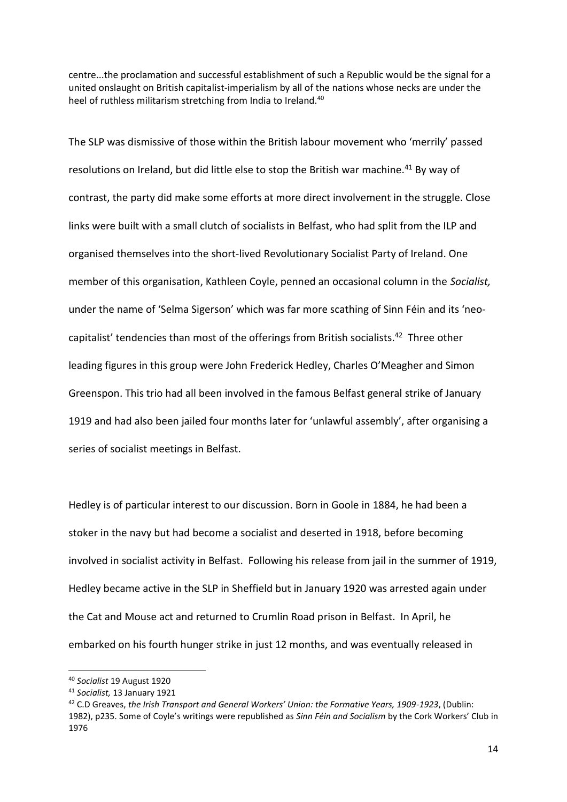centre...the proclamation and successful establishment of such a Republic would be the signal for a united onslaught on British capitalist-imperialism by all of the nations whose necks are under the heel of ruthless militarism stretching from India to Ireland.<sup>40</sup>

The SLP was dismissive of those within the British labour movement who 'merrily' passed resolutions on Ireland, but did little else to stop the British war machine.<sup>41</sup> By way of contrast, the party did make some efforts at more direct involvement in the struggle. Close links were built with a small clutch of socialists in Belfast, who had split from the ILP and organised themselves into the short-lived Revolutionary Socialist Party of Ireland. One member of this organisation, Kathleen Coyle, penned an occasional column in the *Socialist,* under the name of 'Selma Sigerson' which was far more scathing of Sinn Féin and its 'neocapitalist' tendencies than most of the offerings from British socialists.<sup>42</sup> Three other leading figures in this group were John Frederick Hedley, Charles O'Meagher and Simon Greenspon. This trio had all been involved in the famous Belfast general strike of January 1919 and had also been jailed four months later for 'unlawful assembly', after organising a series of socialist meetings in Belfast.

Hedley is of particular interest to our discussion. Born in Goole in 1884, he had been a stoker in the navy but had become a socialist and deserted in 1918, before becoming involved in socialist activity in Belfast. Following his release from jail in the summer of 1919, Hedley became active in the SLP in Sheffield but in January 1920 was arrested again under the Cat and Mouse act and returned to Crumlin Road prison in Belfast. In April, he embarked on his fourth hunger strike in just 12 months, and was eventually released in

<sup>40</sup> *Socialist* 19 August 1920

<sup>41</sup> *Socialist,* 13 January 1921

<sup>42</sup> C.D Greaves, *the Irish Transport and General Workers' Union: the Formative Years, 1909-1923*, (Dublin: 1982), p235. Some of Coyle's writings were republished as *Sinn Féin and Socialism* by the Cork Workers' Club in 1976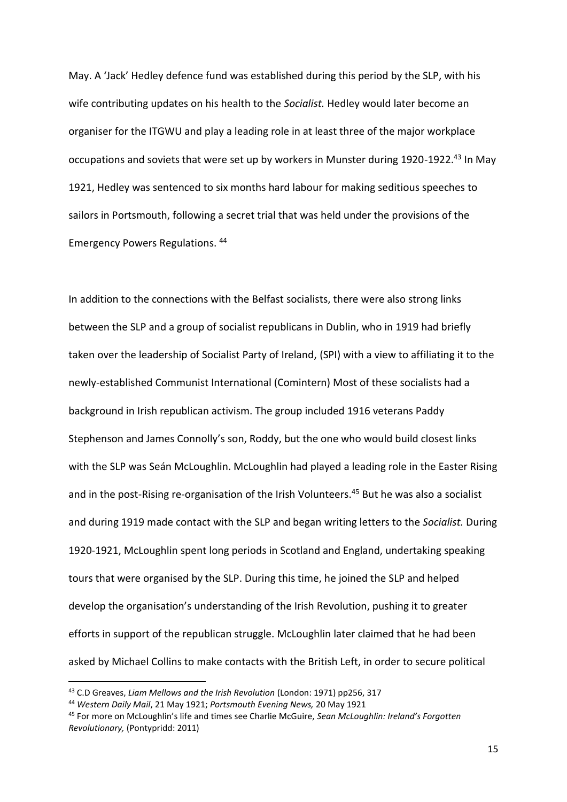May. A 'Jack' Hedley defence fund was established during this period by the SLP, with his wife contributing updates on his health to the *Socialist.* Hedley would later become an organiser for the ITGWU and play a leading role in at least three of the major workplace occupations and soviets that were set up by workers in Munster during 1920-1922.<sup>43</sup> In May 1921, Hedley was sentenced to six months hard labour for making seditious speeches to sailors in Portsmouth, following a secret trial that was held under the provisions of the Emergency Powers Regulations. <sup>44</sup>

In addition to the connections with the Belfast socialists, there were also strong links between the SLP and a group of socialist republicans in Dublin, who in 1919 had briefly taken over the leadership of Socialist Party of Ireland, (SPI) with a view to affiliating it to the newly-established Communist International (Comintern) Most of these socialists had a background in Irish republican activism. The group included 1916 veterans Paddy Stephenson and James Connolly's son, Roddy, but the one who would build closest links with the SLP was Seán McLoughlin. McLoughlin had played a leading role in the Easter Rising and in the post-Rising re-organisation of the Irish Volunteers.<sup>45</sup> But he was also a socialist and during 1919 made contact with the SLP and began writing letters to the *Socialist.* During 1920-1921, McLoughlin spent long periods in Scotland and England, undertaking speaking tours that were organised by the SLP. During this time, he joined the SLP and helped develop the organisation's understanding of the Irish Revolution, pushing it to greater efforts in support of the republican struggle. McLoughlin later claimed that he had been asked by Michael Collins to make contacts with the British Left, in order to secure political

<sup>43</sup> C.D Greaves, *Liam Mellows and the Irish Revolution* (London: 1971) pp256, 317

<sup>44</sup> *Western Daily Mail*, 21 May 1921; *Portsmouth Evening News,* 20 May 1921

<sup>45</sup> For more on McLoughlin's life and times see Charlie McGuire, *Sean McLoughlin: Ireland's Forgotten Revolutionary,* (Pontypridd: 2011)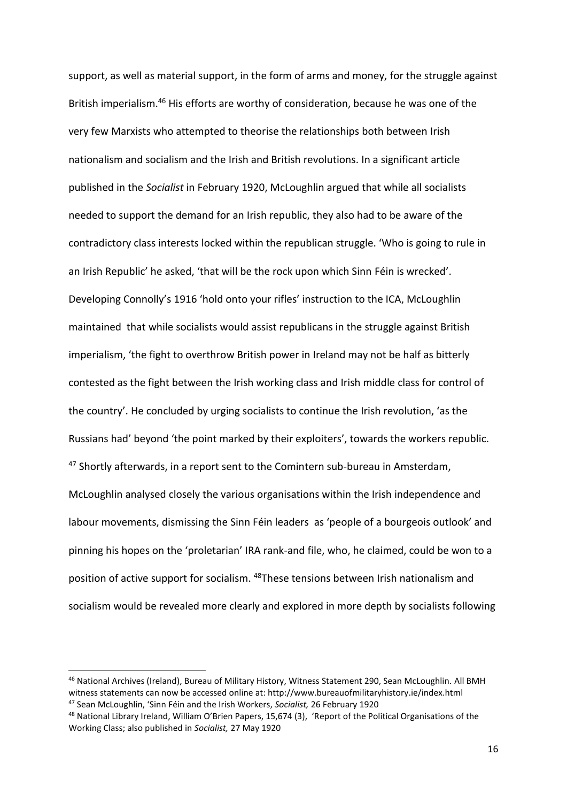support, as well as material support, in the form of arms and money, for the struggle against British imperialism.<sup>46</sup> His efforts are worthy of consideration, because he was one of the very few Marxists who attempted to theorise the relationships both between Irish nationalism and socialism and the Irish and British revolutions. In a significant article published in the *Socialist* in February 1920, McLoughlin argued that while all socialists needed to support the demand for an Irish republic, they also had to be aware of the contradictory class interests locked within the republican struggle. 'Who is going to rule in an Irish Republic' he asked, 'that will be the rock upon which Sinn Féin is wrecked'. Developing Connolly's 1916 'hold onto your rifles' instruction to the ICA, McLoughlin maintained that while socialists would assist republicans in the struggle against British imperialism, 'the fight to overthrow British power in Ireland may not be half as bitterly contested as the fight between the Irish working class and Irish middle class for control of the country'. He concluded by urging socialists to continue the Irish revolution, 'as the Russians had' beyond 'the point marked by their exploiters', towards the workers republic. <sup>47</sup> Shortly afterwards, in a report sent to the Comintern sub-bureau in Amsterdam, McLoughlin analysed closely the various organisations within the Irish independence and labour movements, dismissing the Sinn Féin leaders as 'people of a bourgeois outlook' and pinning his hopes on the 'proletarian' IRA rank-and file, who, he claimed, could be won to a position of active support for socialism. <sup>48</sup>These tensions between Irish nationalism and socialism would be revealed more clearly and explored in more depth by socialists following

<sup>46</sup> National Archives (Ireland), Bureau of Military History, Witness Statement 290, Sean McLoughlin. All BMH witness statements can now be accessed online at: http://www.bureauofmilitaryhistory.ie/index.html <sup>47</sup> Sean McLoughlin, 'Sinn Féin and the Irish Workers, *Socialist,* 26 February 1920

<sup>48</sup> National Library Ireland, William O'Brien Papers, 15,674 (3), 'Report of the Political Organisations of the Working Class; also published in *Socialist,* 27 May 1920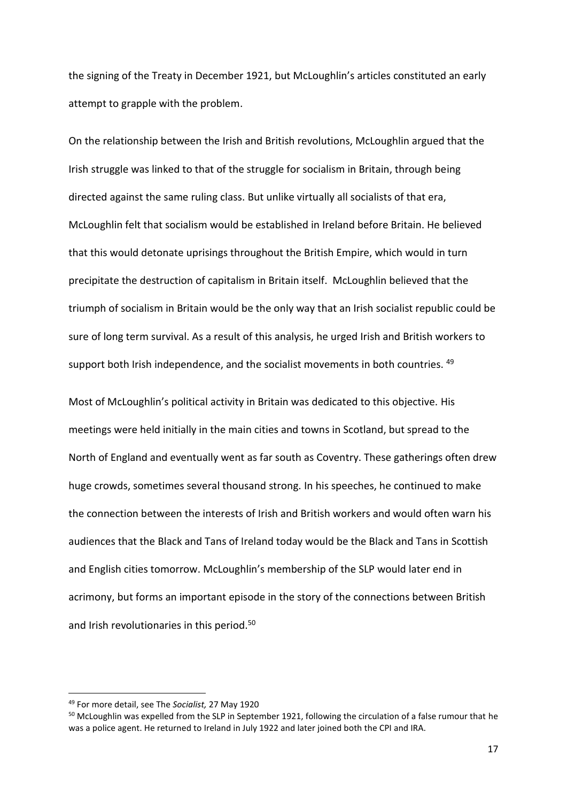the signing of the Treaty in December 1921, but McLoughlin's articles constituted an early attempt to grapple with the problem.

On the relationship between the Irish and British revolutions, McLoughlin argued that the Irish struggle was linked to that of the struggle for socialism in Britain, through being directed against the same ruling class. But unlike virtually all socialists of that era, McLoughlin felt that socialism would be established in Ireland before Britain. He believed that this would detonate uprisings throughout the British Empire, which would in turn precipitate the destruction of capitalism in Britain itself. McLoughlin believed that the triumph of socialism in Britain would be the only way that an Irish socialist republic could be sure of long term survival. As a result of this analysis, he urged Irish and British workers to support both Irish independence, and the socialist movements in both countries. <sup>49</sup>

Most of McLoughlin's political activity in Britain was dedicated to this objective. His meetings were held initially in the main cities and towns in Scotland, but spread to the North of England and eventually went as far south as Coventry. These gatherings often drew huge crowds, sometimes several thousand strong. In his speeches, he continued to make the connection between the interests of Irish and British workers and would often warn his audiences that the Black and Tans of Ireland today would be the Black and Tans in Scottish and English cities tomorrow. McLoughlin's membership of the SLP would later end in acrimony, but forms an important episode in the story of the connections between British and Irish revolutionaries in this period.<sup>50</sup>

<sup>49</sup> For more detail, see The *Socialist,* 27 May 1920

<sup>&</sup>lt;sup>50</sup> McLoughlin was expelled from the SLP in September 1921, following the circulation of a false rumour that he was a police agent. He returned to Ireland in July 1922 and later joined both the CPI and IRA.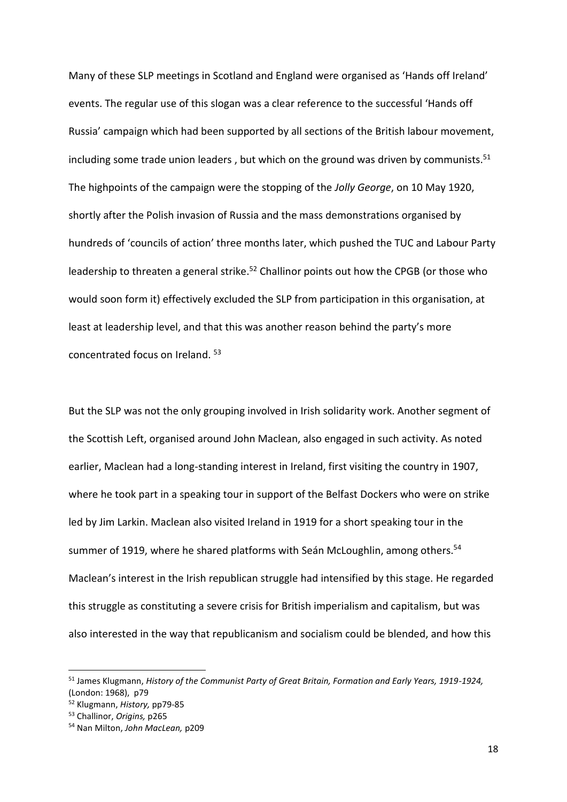Many of these SLP meetings in Scotland and England were organised as 'Hands off Ireland' events. The regular use of this slogan was a clear reference to the successful 'Hands off Russia' campaign which had been supported by all sections of the British labour movement, including some trade union leaders, but which on the ground was driven by communists.<sup>51</sup> The highpoints of the campaign were the stopping of the *Jolly George*, on 10 May 1920, shortly after the Polish invasion of Russia and the mass demonstrations organised by hundreds of 'councils of action' three months later, which pushed the TUC and Labour Party leadership to threaten a general strike.<sup>52</sup> Challinor points out how the CPGB (or those who would soon form it) effectively excluded the SLP from participation in this organisation, at least at leadership level, and that this was another reason behind the party's more concentrated focus on Ireland. 53

But the SLP was not the only grouping involved in Irish solidarity work. Another segment of the Scottish Left, organised around John Maclean, also engaged in such activity. As noted earlier, Maclean had a long-standing interest in Ireland, first visiting the country in 1907, where he took part in a speaking tour in support of the Belfast Dockers who were on strike led by Jim Larkin. Maclean also visited Ireland in 1919 for a short speaking tour in the summer of 1919, where he shared platforms with Seán McLoughlin, among others.<sup>54</sup> Maclean's interest in the Irish republican struggle had intensified by this stage. He regarded this struggle as constituting a severe crisis for British imperialism and capitalism, but was also interested in the way that republicanism and socialism could be blended, and how this

<sup>51</sup> James Klugmann, *History of the Communist Party of Great Britain, Formation and Early Years, 1919-1924,*  (London: 1968), p79

<sup>52</sup> Klugmann, *History,* pp79-85

<sup>53</sup> Challinor, *Origins,* p265

<sup>54</sup> Nan Milton, *John MacLean,* p209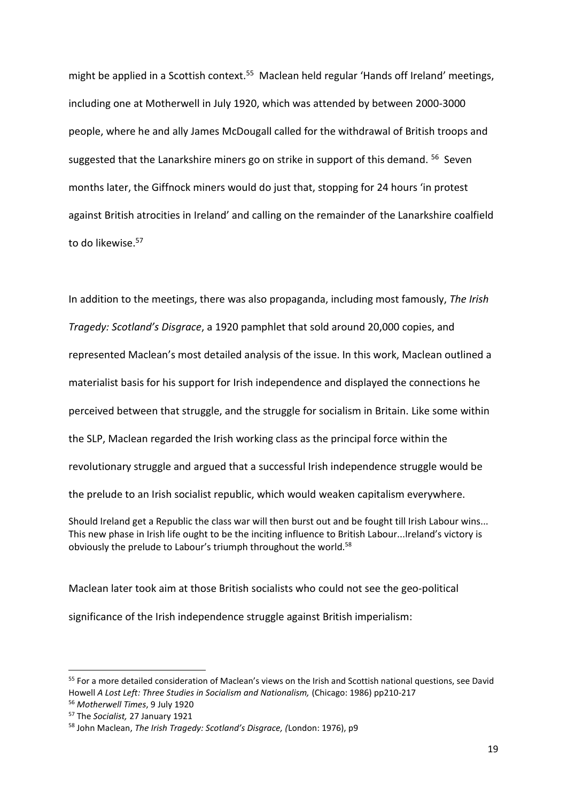might be applied in a Scottish context.<sup>55</sup> Maclean held regular 'Hands off Ireland' meetings, including one at Motherwell in July 1920, which was attended by between 2000-3000 people, where he and ally James McDougall called for the withdrawal of British troops and suggested that the Lanarkshire miners go on strike in support of this demand. <sup>56</sup> Seven months later, the Giffnock miners would do just that, stopping for 24 hours 'in protest against British atrocities in Ireland' and calling on the remainder of the Lanarkshire coalfield to do likewise.<sup>57</sup>

In addition to the meetings, there was also propaganda, including most famously, *The Irish Tragedy: Scotland's Disgrace*, a 1920 pamphlet that sold around 20,000 copies, and represented Maclean's most detailed analysis of the issue. In this work, Maclean outlined a materialist basis for his support for Irish independence and displayed the connections he perceived between that struggle, and the struggle for socialism in Britain. Like some within the SLP, Maclean regarded the Irish working class as the principal force within the revolutionary struggle and argued that a successful Irish independence struggle would be the prelude to an Irish socialist republic, which would weaken capitalism everywhere.

Should Ireland get a Republic the class war will then burst out and be fought till Irish Labour wins... This new phase in Irish life ought to be the inciting influence to British Labour...Ireland's victory is obviously the prelude to Labour's triumph throughout the world.<sup>58</sup>

Maclean later took aim at those British socialists who could not see the geo-political significance of the Irish independence struggle against British imperialism:

<sup>&</sup>lt;sup>55</sup> For a more detailed consideration of Maclean's views on the Irish and Scottish national questions, see David Howell *A Lost Left: Three Studies in Socialism and Nationalism,* (Chicago: 1986) pp210-217

<sup>56</sup> *Motherwell Times*, 9 July 1920

<sup>57</sup> The *Socialist,* 27 January 1921

<sup>58</sup> John Maclean, *The Irish Tragedy: Scotland's Disgrace, (*London: 1976), p9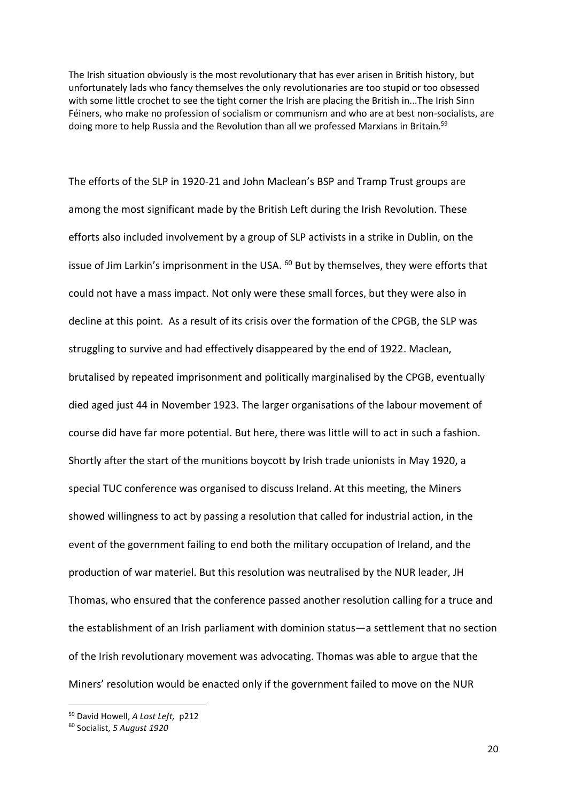The Irish situation obviously is the most revolutionary that has ever arisen in British history, but unfortunately lads who fancy themselves the only revolutionaries are too stupid or too obsessed with some little crochet to see the tight corner the Irish are placing the British in...The Irish Sinn Féiners, who make no profession of socialism or communism and who are at best non-socialists, are doing more to help Russia and the Revolution than all we professed Marxians in Britain.<sup>59</sup>

The efforts of the SLP in 1920-21 and John Maclean's BSP and Tramp Trust groups are among the most significant made by the British Left during the Irish Revolution. These efforts also included involvement by a group of SLP activists in a strike in Dublin, on the issue of Jim Larkin's imprisonment in the USA. <sup>60</sup> But by themselves, they were efforts that could not have a mass impact. Not only were these small forces, but they were also in decline at this point. As a result of its crisis over the formation of the CPGB, the SLP was struggling to survive and had effectively disappeared by the end of 1922. Maclean, brutalised by repeated imprisonment and politically marginalised by the CPGB, eventually died aged just 44 in November 1923. The larger organisations of the labour movement of course did have far more potential. But here, there was little will to act in such a fashion. Shortly after the start of the munitions boycott by Irish trade unionists in May 1920, a special TUC conference was organised to discuss Ireland. At this meeting, the Miners showed willingness to act by passing a resolution that called for industrial action, in the event of the government failing to end both the military occupation of Ireland, and the production of war materiel. But this resolution was neutralised by the NUR leader, JH Thomas, who ensured that the conference passed another resolution calling for a truce and the establishment of an Irish parliament with dominion status—a settlement that no section of the Irish revolutionary movement was advocating. Thomas was able to argue that the Miners' resolution would be enacted only if the government failed to move on the NUR

1

<sup>59</sup> David Howell, *A Lost Left,* p212

<sup>60</sup> Socialist, *5 August 1920*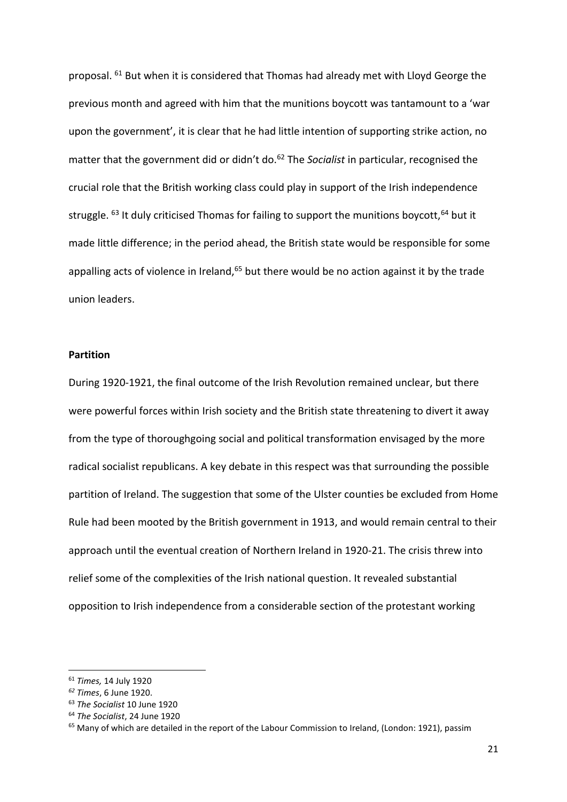proposal. <sup>61</sup> But when it is considered that Thomas had already met with Lloyd George the previous month and agreed with him that the munitions boycott was tantamount to a 'war upon the government', it is clear that he had little intention of supporting strike action, no matter that the government did or didn't do.<sup>62</sup> The *Socialist* in particular, recognised the crucial role that the British working class could play in support of the Irish independence struggle.  $63$  It duly criticised Thomas for failing to support the munitions boycott,  $64$  but it made little difference; in the period ahead, the British state would be responsible for some appalling acts of violence in Ireland, $65$  but there would be no action against it by the trade union leaders.

## **Partition**

During 1920-1921, the final outcome of the Irish Revolution remained unclear, but there were powerful forces within Irish society and the British state threatening to divert it away from the type of thoroughgoing social and political transformation envisaged by the more radical socialist republicans. A key debate in this respect was that surrounding the possible partition of Ireland. The suggestion that some of the Ulster counties be excluded from Home Rule had been mooted by the British government in 1913, and would remain central to their approach until the eventual creation of Northern Ireland in 1920-21. The crisis threw into relief some of the complexities of the Irish national question. It revealed substantial opposition to Irish independence from a considerable section of the protestant working

<sup>61</sup> *Times,* 14 July 1920

*<sup>62</sup> Times*, 6 June 1920.

<sup>63</sup> *The Socialist* 10 June 1920

<sup>64</sup> *The Socialist*, 24 June 1920

<sup>&</sup>lt;sup>65</sup> Many of which are detailed in the report of the Labour Commission to Ireland, (London: 1921), passim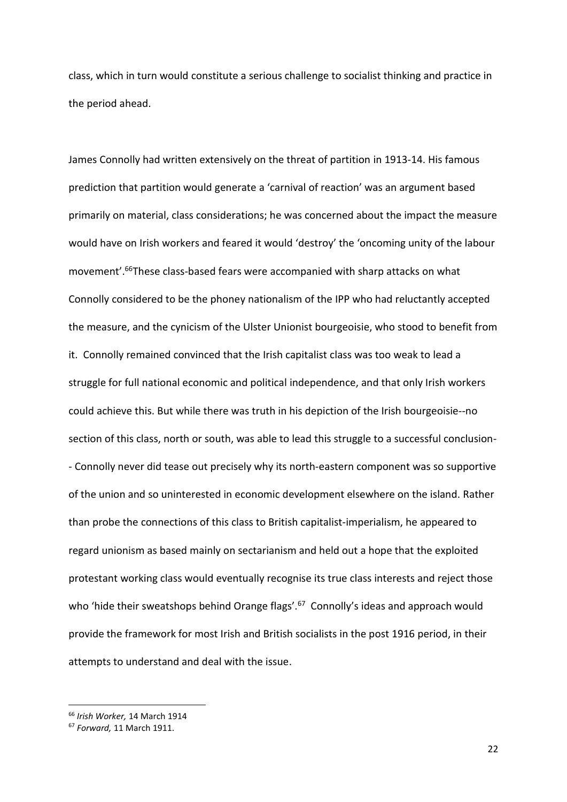class, which in turn would constitute a serious challenge to socialist thinking and practice in the period ahead.

James Connolly had written extensively on the threat of partition in 1913-14. His famous prediction that partition would generate a 'carnival of reaction' was an argument based primarily on material, class considerations; he was concerned about the impact the measure would have on Irish workers and feared it would 'destroy' the 'oncoming unity of the labour movement'.<sup>66</sup>These class-based fears were accompanied with sharp attacks on what Connolly considered to be the phoney nationalism of the IPP who had reluctantly accepted the measure, and the cynicism of the Ulster Unionist bourgeoisie, who stood to benefit from it. Connolly remained convinced that the Irish capitalist class was too weak to lead a struggle for full national economic and political independence, and that only Irish workers could achieve this. But while there was truth in his depiction of the Irish bourgeoisie--no section of this class, north or south, was able to lead this struggle to a successful conclusion- - Connolly never did tease out precisely why its north-eastern component was so supportive of the union and so uninterested in economic development elsewhere on the island. Rather than probe the connections of this class to British capitalist-imperialism, he appeared to regard unionism as based mainly on sectarianism and held out a hope that the exploited protestant working class would eventually recognise its true class interests and reject those who 'hide their sweatshops behind Orange flags'.<sup>67</sup> Connolly's ideas and approach would provide the framework for most Irish and British socialists in the post 1916 period, in their attempts to understand and deal with the issue.

1

<sup>66</sup> *Irish Worker,* 14 March 1914

<sup>67</sup> *Forward,* 11 March 1911.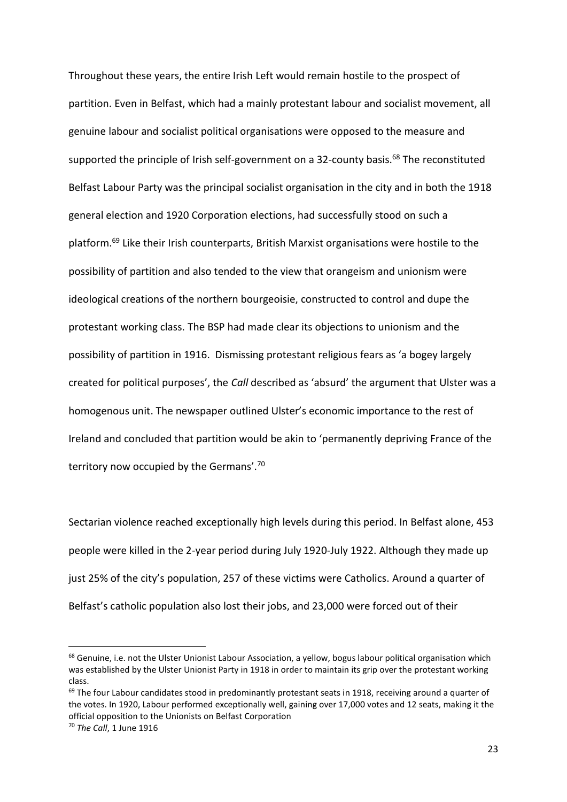Throughout these years, the entire Irish Left would remain hostile to the prospect of partition. Even in Belfast, which had a mainly protestant labour and socialist movement, all genuine labour and socialist political organisations were opposed to the measure and supported the principle of Irish self-government on a 32-county basis.<sup>68</sup> The reconstituted Belfast Labour Party was the principal socialist organisation in the city and in both the 1918 general election and 1920 Corporation elections, had successfully stood on such a platform.<sup>69</sup> Like their Irish counterparts, British Marxist organisations were hostile to the possibility of partition and also tended to the view that orangeism and unionism were ideological creations of the northern bourgeoisie, constructed to control and dupe the protestant working class. The BSP had made clear its objections to unionism and the possibility of partition in 1916. Dismissing protestant religious fears as 'a bogey largely created for political purposes', the *Call* described as 'absurd' the argument that Ulster was a homogenous unit. The newspaper outlined Ulster's economic importance to the rest of Ireland and concluded that partition would be akin to 'permanently depriving France of the territory now occupied by the Germans'.<sup>70</sup>

Sectarian violence reached exceptionally high levels during this period. In Belfast alone, 453 people were killed in the 2-year period during July 1920-July 1922. Although they made up just 25% of the city's population, 257 of these victims were Catholics. Around a quarter of Belfast's catholic population also lost their jobs, and 23,000 were forced out of their

<sup>&</sup>lt;sup>68</sup> Genuine, i.e. not the Ulster Unionist Labour Association, a yellow, bogus labour political organisation which was established by the Ulster Unionist Party in 1918 in order to maintain its grip over the protestant working class.

<sup>&</sup>lt;sup>69</sup> The four Labour candidates stood in predominantly protestant seats in 1918, receiving around a quarter of the votes. In 1920, Labour performed exceptionally well, gaining over 17,000 votes and 12 seats, making it the official opposition to the Unionists on Belfast Corporation

<sup>70</sup> *The Call*, 1 June 1916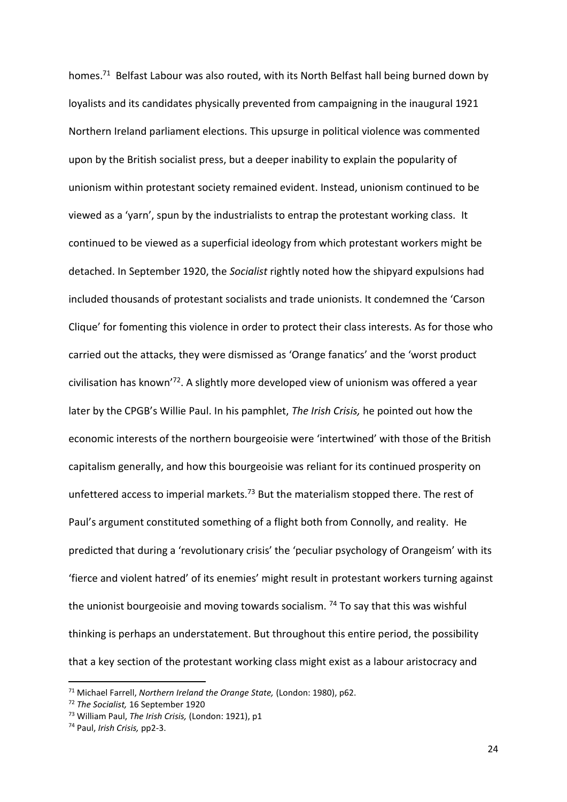homes.<sup>71</sup> Belfast Labour was also routed, with its North Belfast hall being burned down by loyalists and its candidates physically prevented from campaigning in the inaugural 1921 Northern Ireland parliament elections. This upsurge in political violence was commented upon by the British socialist press, but a deeper inability to explain the popularity of unionism within protestant society remained evident. Instead, unionism continued to be viewed as a 'yarn', spun by the industrialists to entrap the protestant working class. It continued to be viewed as a superficial ideology from which protestant workers might be detached. In September 1920, the *Socialist* rightly noted how the shipyard expulsions had included thousands of protestant socialists and trade unionists. It condemned the 'Carson Clique' for fomenting this violence in order to protect their class interests. As for those who carried out the attacks, they were dismissed as 'Orange fanatics' and the 'worst product civilisation has known'<sup>72</sup>. A slightly more developed view of unionism was offered a year later by the CPGB's Willie Paul. In his pamphlet, *The Irish Crisis,* he pointed out how the economic interests of the northern bourgeoisie were 'intertwined' with those of the British capitalism generally, and how this bourgeoisie was reliant for its continued prosperity on unfettered access to imperial markets.<sup>73</sup> But the materialism stopped there. The rest of Paul's argument constituted something of a flight both from Connolly, and reality. He predicted that during a 'revolutionary crisis' the 'peculiar psychology of Orangeism' with its 'fierce and violent hatred' of its enemies' might result in protestant workers turning against the unionist bourgeoisie and moving towards socialism.  $74$  To say that this was wishful thinking is perhaps an understatement. But throughout this entire period, the possibility that a key section of the protestant working class might exist as a labour aristocracy and

<sup>71</sup> Michael Farrell, *Northern Ireland the Orange State,* (London: 1980), p62.

<sup>72</sup> *The Socialist,* 16 September 1920

<sup>73</sup> William Paul, *The Irish Crisis,* (London: 1921), p1

<sup>74</sup> Paul, *Irish Crisis,* pp2-3.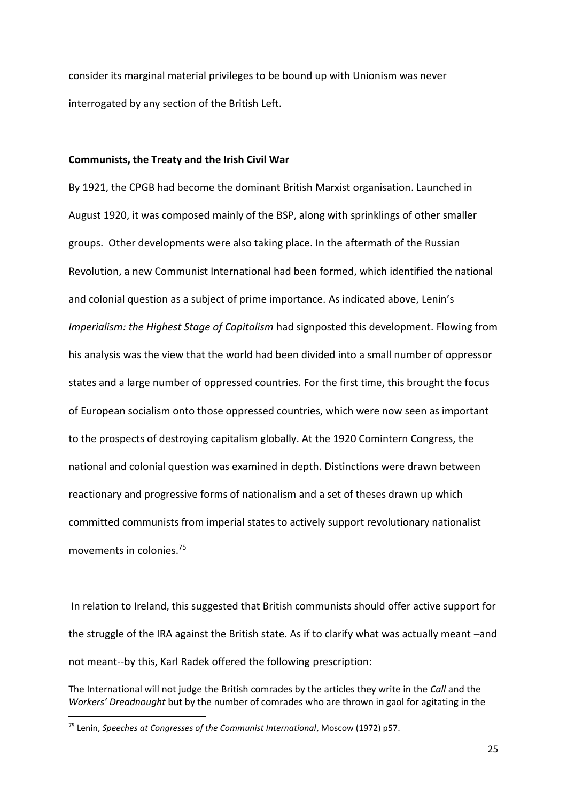consider its marginal material privileges to be bound up with Unionism was never interrogated by any section of the British Left.

#### **Communists, the Treaty and the Irish Civil War**

By 1921, the CPGB had become the dominant British Marxist organisation. Launched in August 1920, it was composed mainly of the BSP, along with sprinklings of other smaller groups. Other developments were also taking place. In the aftermath of the Russian Revolution, a new Communist International had been formed, which identified the national and colonial question as a subject of prime importance. As indicated above, Lenin's *Imperialism: the Highest Stage of Capitalism* had signposted this development. Flowing from his analysis was the view that the world had been divided into a small number of oppressor states and a large number of oppressed countries. For the first time, this brought the focus of European socialism onto those oppressed countries, which were now seen as important to the prospects of destroying capitalism globally. At the 1920 Comintern Congress, the national and colonial question was examined in depth. Distinctions were drawn between reactionary and progressive forms of nationalism and a set of theses drawn up which committed communists from imperial states to actively support revolutionary nationalist movements in colonies.<sup>75</sup>

In relation to Ireland, this suggested that British communists should offer active support for the struggle of the IRA against the British state. As if to clarify what was actually meant –and not meant--by this, Karl Radek offered the following prescription:

The International will not judge the British comrades by the articles they write in the *Call* and the *Workers' Dreadnought* but by the number of comrades who are thrown in gaol for agitating in the

<sup>75</sup> Lenin, *Speeches at Congresses of the Communist International*, Moscow (1972) p57.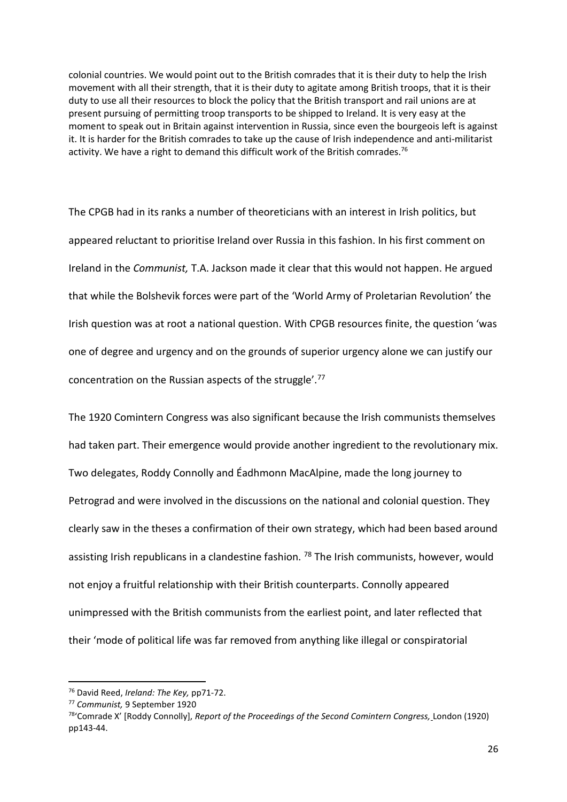colonial countries. We would point out to the British comrades that it is their duty to help the Irish movement with all their strength, that it is their duty to agitate among British troops, that it is their duty to use all their resources to block the policy that the British transport and rail unions are at present pursuing of permitting troop transports to be shipped to Ireland. It is very easy at the moment to speak out in Britain against intervention in Russia, since even the bourgeois left is against it. It is harder for the British comrades to take up the cause of Irish independence and anti-militarist activity. We have a right to demand this difficult work of the British comrades.<sup>76</sup>

The CPGB had in its ranks a number of theoreticians with an interest in Irish politics, but appeared reluctant to prioritise Ireland over Russia in this fashion. In his first comment on Ireland in the *Communist,* T.A. Jackson made it clear that this would not happen. He argued that while the Bolshevik forces were part of the 'World Army of Proletarian Revolution' the Irish question was at root a national question. With CPGB resources finite, the question 'was one of degree and urgency and on the grounds of superior urgency alone we can justify our concentration on the Russian aspects of the struggle'.<sup>77</sup>

The 1920 Comintern Congress was also significant because the Irish communists themselves had taken part. Their emergence would provide another ingredient to the revolutionary mix. Two delegates, Roddy Connolly and Éadhmonn MacAlpine, made the long journey to Petrograd and were involved in the discussions on the national and colonial question. They clearly saw in the theses a confirmation of their own strategy, which had been based around assisting Irish republicans in a clandestine fashion.  $^{78}$  The Irish communists, however, would not enjoy a fruitful relationship with their British counterparts. Connolly appeared unimpressed with the British communists from the earliest point, and later reflected that their 'mode of political life was far removed from anything like illegal or conspiratorial

<sup>76</sup> David Reed, *Ireland: The Key,* pp71-72.

<sup>77</sup> *Communist,* 9 September 1920

<sup>78</sup>'Comrade X' [Roddy Connolly], *Report of the Proceedings of the Second Comintern Congress,* London (1920) pp143-44.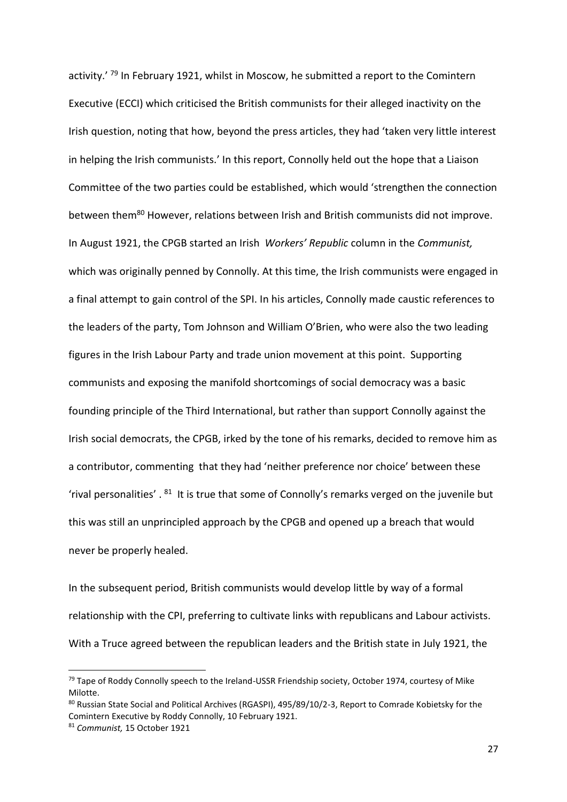activity.<sup>' 79</sup> In February 1921, whilst in Moscow, he submitted a report to the Comintern Executive (ECCI) which criticised the British communists for their alleged inactivity on the Irish question, noting that how, beyond the press articles, they had 'taken very little interest in helping the Irish communists.' In this report, Connolly held out the hope that a Liaison Committee of the two parties could be established, which would 'strengthen the connection between them<sup>80</sup> However, relations between Irish and British communists did not improve. In August 1921, the CPGB started an Irish *Workers' Republic* column in the *Communist,* which was originally penned by Connolly. At this time, the Irish communists were engaged in a final attempt to gain control of the SPI. In his articles, Connolly made caustic references to the leaders of the party, Tom Johnson and William O'Brien, who were also the two leading figures in the Irish Labour Party and trade union movement at this point. Supporting communists and exposing the manifold shortcomings of social democracy was a basic founding principle of the Third International, but rather than support Connolly against the Irish social democrats, the CPGB, irked by the tone of his remarks, decided to remove him as a contributor, commenting that they had 'neither preference nor choice' between these 'rival personalities'.  $81$  It is true that some of Connolly's remarks verged on the juvenile but this was still an unprincipled approach by the CPGB and opened up a breach that would never be properly healed.

In the subsequent period, British communists would develop little by way of a formal relationship with the CPI, preferring to cultivate links with republicans and Labour activists. With a Truce agreed between the republican leaders and the British state in July 1921, the

<sup>&</sup>lt;sup>79</sup> Tape of Roddy Connolly speech to the Ireland-USSR Friendship society, October 1974, courtesy of Mike Milotte.

<sup>80</sup> Russian State Social and Political Archives (RGASPI), 495/89/10/2-3, Report to Comrade Kobietsky for the Comintern Executive by Roddy Connolly, 10 February 1921.

<sup>81</sup> *Communist,* 15 October 1921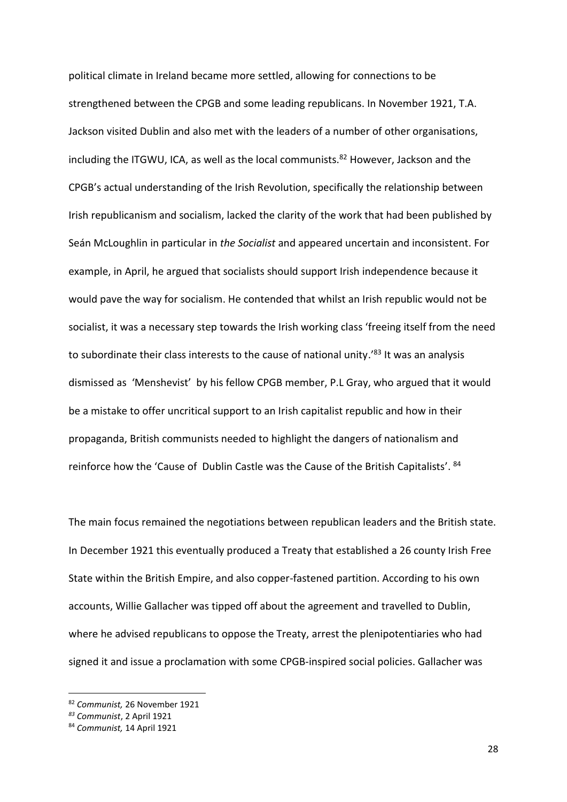political climate in Ireland became more settled, allowing for connections to be strengthened between the CPGB and some leading republicans. In November 1921, T.A. Jackson visited Dublin and also met with the leaders of a number of other organisations, including the ITGWU, ICA, as well as the local communists.<sup>82</sup> However, Jackson and the CPGB's actual understanding of the Irish Revolution, specifically the relationship between Irish republicanism and socialism, lacked the clarity of the work that had been published by Seán McLoughlin in particular in *the Socialist* and appeared uncertain and inconsistent. For example, in April, he argued that socialists should support Irish independence because it would pave the way for socialism. He contended that whilst an Irish republic would not be socialist, it was a necessary step towards the Irish working class 'freeing itself from the need to subordinate their class interests to the cause of national unity.'<sup>83</sup> It was an analysis dismissed as 'Menshevist' by his fellow CPGB member, P.L Gray, who argued that it would be a mistake to offer uncritical support to an Irish capitalist republic and how in their propaganda, British communists needed to highlight the dangers of nationalism and reinforce how the 'Cause of Dublin Castle was the Cause of the British Capitalists'. <sup>84</sup>

The main focus remained the negotiations between republican leaders and the British state. In December 1921 this eventually produced a Treaty that established a 26 county Irish Free State within the British Empire, and also copper-fastened partition. According to his own accounts, Willie Gallacher was tipped off about the agreement and travelled to Dublin, where he advised republicans to oppose the Treaty, arrest the plenipotentiaries who had signed it and issue a proclamation with some CPGB-inspired social policies. Gallacher was

<sup>82</sup> *Communist,* 26 November 1921

*<sup>83</sup> Communist*, 2 April 1921

<sup>84</sup> *Communist,* 14 April 1921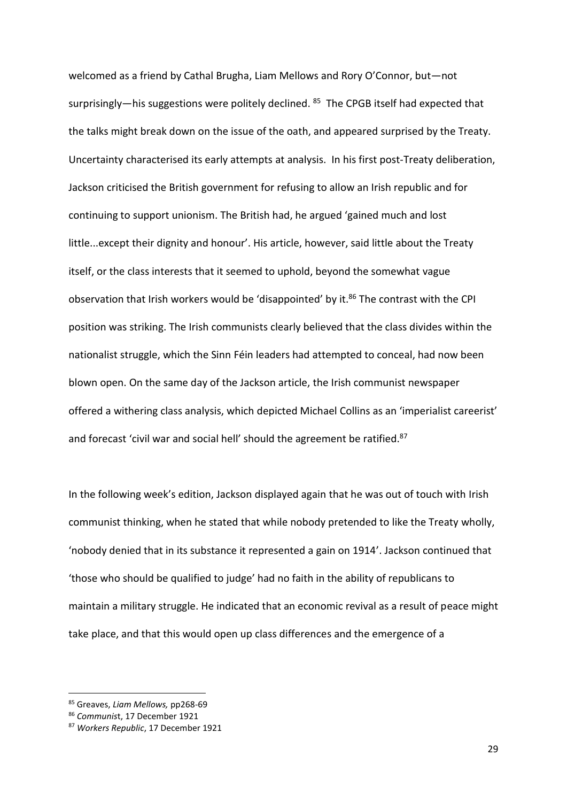welcomed as a friend by Cathal Brugha, Liam Mellows and Rory O'Connor, but—not surprisingly—his suggestions were politely declined. <sup>85</sup> The CPGB itself had expected that the talks might break down on the issue of the oath, and appeared surprised by the Treaty. Uncertainty characterised its early attempts at analysis. In his first post-Treaty deliberation, Jackson criticised the British government for refusing to allow an Irish republic and for continuing to support unionism. The British had, he argued 'gained much and lost little...except their dignity and honour'. His article, however, said little about the Treaty itself, or the class interests that it seemed to uphold, beyond the somewhat vague observation that Irish workers would be 'disappointed' by it.<sup>86</sup> The contrast with the CPI position was striking. The Irish communists clearly believed that the class divides within the nationalist struggle, which the Sinn Féin leaders had attempted to conceal, had now been blown open. On the same day of the Jackson article, the Irish communist newspaper offered a withering class analysis, which depicted Michael Collins as an 'imperialist careerist' and forecast 'civil war and social hell' should the agreement be ratified.<sup>87</sup>

In the following week's edition, Jackson displayed again that he was out of touch with Irish communist thinking, when he stated that while nobody pretended to like the Treaty wholly, 'nobody denied that in its substance it represented a gain on 1914'. Jackson continued that 'those who should be qualified to judge' had no faith in the ability of republicans to maintain a military struggle. He indicated that an economic revival as a result of peace might take place, and that this would open up class differences and the emergence of a

<sup>85</sup> Greaves, *Liam Mellows,* pp268-69

<sup>86</sup> *Communis*t, 17 December 1921

<sup>87</sup> *Workers Republic*, 17 December 1921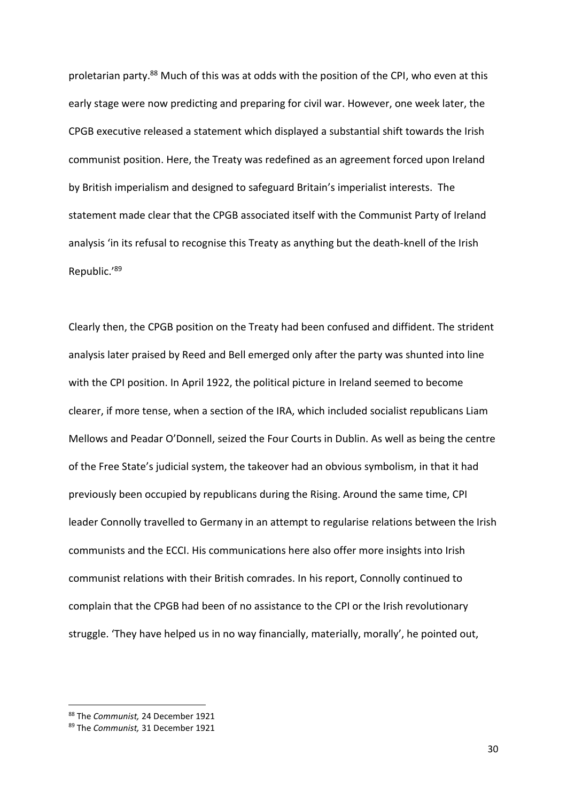proletarian party.<sup>88</sup> Much of this was at odds with the position of the CPI, who even at this early stage were now predicting and preparing for civil war. However, one week later, the CPGB executive released a statement which displayed a substantial shift towards the Irish communist position. Here, the Treaty was redefined as an agreement forced upon Ireland by British imperialism and designed to safeguard Britain's imperialist interests. The statement made clear that the CPGB associated itself with the Communist Party of Ireland analysis 'in its refusal to recognise this Treaty as anything but the death-knell of the Irish Republic.'<sup>89</sup>

Clearly then, the CPGB position on the Treaty had been confused and diffident. The strident analysis later praised by Reed and Bell emerged only after the party was shunted into line with the CPI position. In April 1922, the political picture in Ireland seemed to become clearer, if more tense, when a section of the IRA, which included socialist republicans Liam Mellows and Peadar O'Donnell, seized the Four Courts in Dublin. As well as being the centre of the Free State's judicial system, the takeover had an obvious symbolism, in that it had previously been occupied by republicans during the Rising. Around the same time, CPI leader Connolly travelled to Germany in an attempt to regularise relations between the Irish communists and the ECCI. His communications here also offer more insights into Irish communist relations with their British comrades. In his report, Connolly continued to complain that the CPGB had been of no assistance to the CPI or the Irish revolutionary struggle. 'They have helped us in no way financially, materially, morally', he pointed out,

1

<sup>88</sup> The *Communist,* 24 December 1921

<sup>89</sup> The *Communist,* 31 December 1921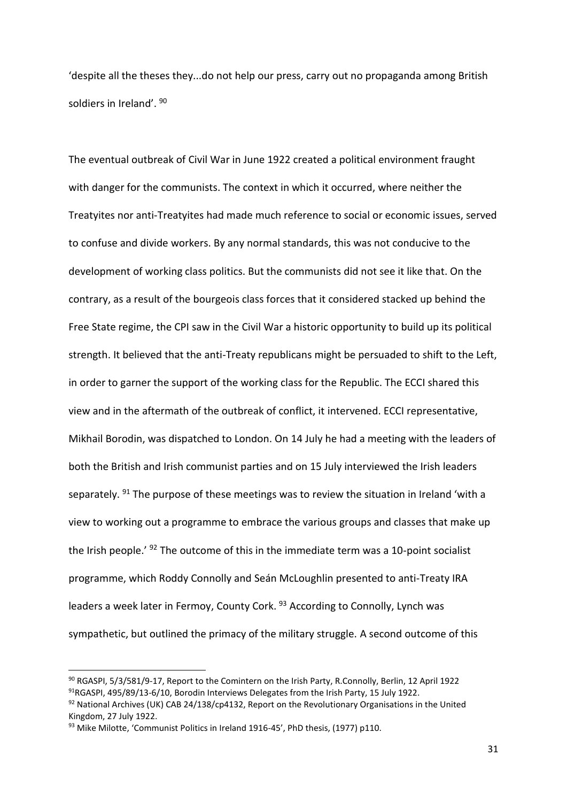'despite all the theses they...do not help our press, carry out no propaganda among British soldiers in Ireland'. <sup>90</sup>

The eventual outbreak of Civil War in June 1922 created a political environment fraught with danger for the communists. The context in which it occurred, where neither the Treatyites nor anti-Treatyites had made much reference to social or economic issues, served to confuse and divide workers. By any normal standards, this was not conducive to the development of working class politics. But the communists did not see it like that. On the contrary, as a result of the bourgeois class forces that it considered stacked up behind the Free State regime, the CPI saw in the Civil War a historic opportunity to build up its political strength. It believed that the anti-Treaty republicans might be persuaded to shift to the Left, in order to garner the support of the working class for the Republic. The ECCI shared this view and in the aftermath of the outbreak of conflict, it intervened. ECCI representative, Mikhail Borodin, was dispatched to London. On 14 July he had a meeting with the leaders of both the British and Irish communist parties and on 15 July interviewed the Irish leaders separately.  $91$  The purpose of these meetings was to review the situation in Ireland 'with a view to working out a programme to embrace the various groups and classes that make up the Irish people.<sup>' 92</sup> The outcome of this in the immediate term was a 10-point socialist programme, which Roddy Connolly and Seán McLoughlin presented to anti-Treaty IRA leaders a week later in Fermoy, County Cork.<sup>93</sup> According to Connolly, Lynch was sympathetic, but outlined the primacy of the military struggle. A second outcome of this

<sup>90</sup> RGASPI, 5/3/581/9-17, Report to the Comintern on the Irish Party, R.Connolly, Berlin, 12 April 1922 91RGASPI, 495/89/13-6/10, Borodin Interviews Delegates from the Irish Party, 15 July 1922.

 $92$  National Archives (UK) CAB 24/138/cp4132, Report on the Revolutionary Organisations in the United Kingdom, 27 July 1922.

<sup>93</sup> Mike Milotte, 'Communist Politics in Ireland 1916-45', PhD thesis, (1977) p110.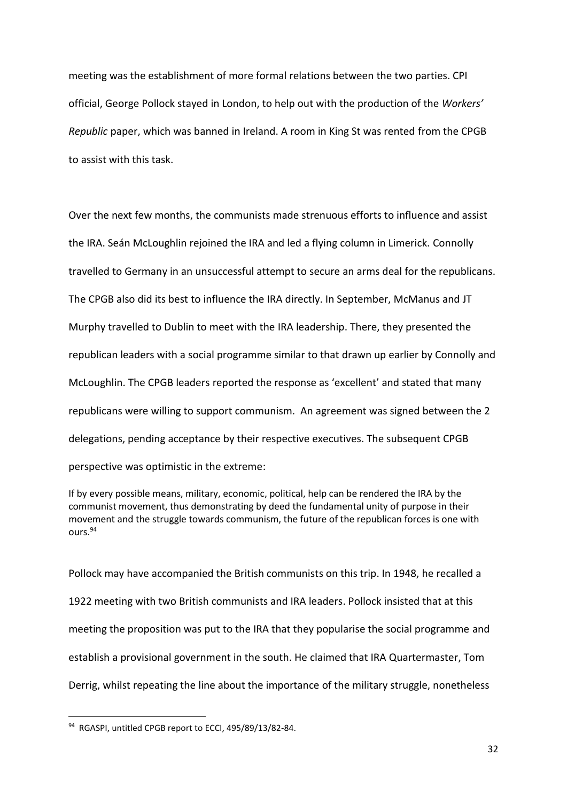meeting was the establishment of more formal relations between the two parties. CPI official, George Pollock stayed in London, to help out with the production of the *Workers' Republic* paper, which was banned in Ireland. A room in King St was rented from the CPGB to assist with this task.

Over the next few months, the communists made strenuous efforts to influence and assist the IRA. Seán McLoughlin rejoined the IRA and led a flying column in Limerick. Connolly travelled to Germany in an unsuccessful attempt to secure an arms deal for the republicans. The CPGB also did its best to influence the IRA directly. In September, McManus and JT Murphy travelled to Dublin to meet with the IRA leadership. There, they presented the republican leaders with a social programme similar to that drawn up earlier by Connolly and McLoughlin. The CPGB leaders reported the response as 'excellent' and stated that many republicans were willing to support communism. An agreement was signed between the 2 delegations, pending acceptance by their respective executives. The subsequent CPGB perspective was optimistic in the extreme:

If by every possible means, military, economic, political, help can be rendered the IRA by the communist movement, thus demonstrating by deed the fundamental unity of purpose in their movement and the struggle towards communism, the future of the republican forces is one with ours.<sup>94</sup>

Pollock may have accompanied the British communists on this trip. In 1948, he recalled a 1922 meeting with two British communists and IRA leaders. Pollock insisted that at this meeting the proposition was put to the IRA that they popularise the social programme and establish a provisional government in the south. He claimed that IRA Quartermaster, Tom Derrig, whilst repeating the line about the importance of the military struggle, nonetheless

<sup>94</sup> RGASPI, untitled CPGB report to ECCI, 495/89/13/82-84.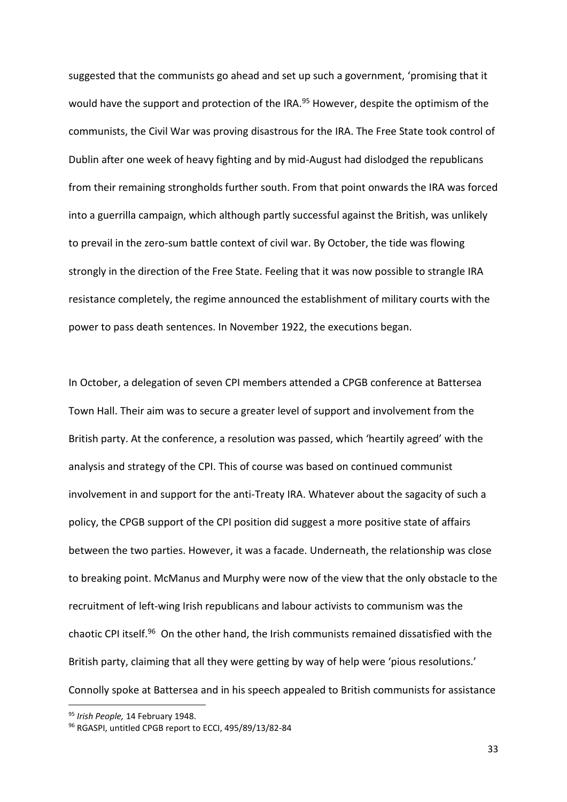suggested that the communists go ahead and set up such a government, 'promising that it would have the support and protection of the IRA.<sup>95</sup> However, despite the optimism of the communists, the Civil War was proving disastrous for the IRA. The Free State took control of Dublin after one week of heavy fighting and by mid-August had dislodged the republicans from their remaining strongholds further south. From that point onwards the IRA was forced into a guerrilla campaign, which although partly successful against the British, was unlikely to prevail in the zero-sum battle context of civil war. By October, the tide was flowing strongly in the direction of the Free State. Feeling that it was now possible to strangle IRA resistance completely, the regime announced the establishment of military courts with the power to pass death sentences. In November 1922, the executions began.

In October, a delegation of seven CPI members attended a CPGB conference at Battersea Town Hall. Their aim was to secure a greater level of support and involvement from the British party. At the conference, a resolution was passed, which 'heartily agreed' with the analysis and strategy of the CPI. This of course was based on continued communist involvement in and support for the anti-Treaty IRA. Whatever about the sagacity of such a policy, the CPGB support of the CPI position did suggest a more positive state of affairs between the two parties. However, it was a facade. Underneath, the relationship was close to breaking point. McManus and Murphy were now of the view that the only obstacle to the recruitment of left-wing Irish republicans and labour activists to communism was the chaotic CPI itself.<sup>96</sup> On the other hand, the Irish communists remained dissatisfied with the British party, claiming that all they were getting by way of help were 'pious resolutions.' Connolly spoke at Battersea and in his speech appealed to British communists for assistance

1

<sup>95</sup> *Irish People,* 14 February 1948.

<sup>96</sup> RGASPI, untitled CPGB report to ECCI, 495/89/13/82-84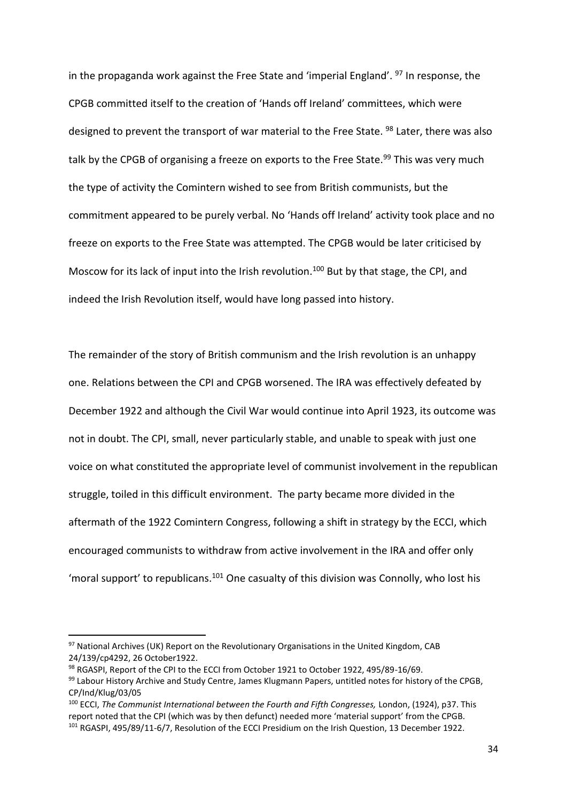in the propaganda work against the Free State and 'imperial England'.  $97$  In response, the CPGB committed itself to the creation of 'Hands off Ireland' committees, which were designed to prevent the transport of war material to the Free State. <sup>98</sup> Later, there was also talk by the CPGB of organising a freeze on exports to the Free State.<sup>99</sup> This was very much the type of activity the Comintern wished to see from British communists, but the commitment appeared to be purely verbal. No 'Hands off Ireland' activity took place and no freeze on exports to the Free State was attempted. The CPGB would be later criticised by Moscow for its lack of input into the Irish revolution.<sup>100</sup> But by that stage, the CPI, and indeed the Irish Revolution itself, would have long passed into history.

The remainder of the story of British communism and the Irish revolution is an unhappy one. Relations between the CPI and CPGB worsened. The IRA was effectively defeated by December 1922 and although the Civil War would continue into April 1923, its outcome was not in doubt. The CPI, small, never particularly stable, and unable to speak with just one voice on what constituted the appropriate level of communist involvement in the republican struggle, toiled in this difficult environment. The party became more divided in the aftermath of the 1922 Comintern Congress, following a shift in strategy by the ECCI, which encouraged communists to withdraw from active involvement in the IRA and offer only 'moral support' to republicans.<sup>101</sup> One casualty of this division was Connolly, who lost his

<sup>97</sup> National Archives (UK) Report on the Revolutionary Organisations in the United Kingdom, CAB 24/139/cp4292, 26 October1922.

<sup>98</sup> RGASPI, Report of the CPI to the ECCI from October 1921 to October 1922, 495/89-16/69.

<sup>99</sup> Labour History Archive and Study Centre, James Klugmann Papers, untitled notes for history of the CPGB, CP/Ind/Klug/03/05

<sup>100</sup> ECCI, *The Communist International between the Fourth and Fifth Congresses,* London, (1924), p37. This report noted that the CPI (which was by then defunct) needed more 'material support' from the CPGB. 101 RGASPI, 495/89/11-6/7, Resolution of the ECCI Presidium on the Irish Question, 13 December 1922.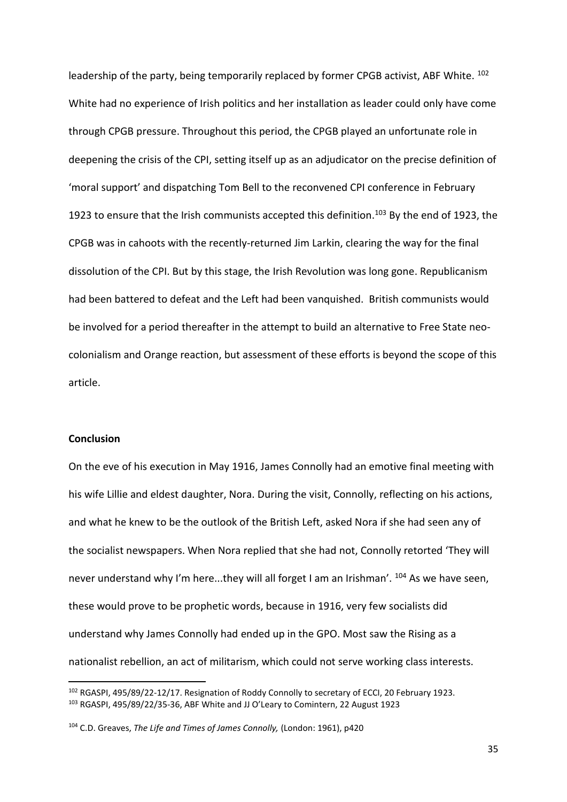leadership of the party, being temporarily replaced by former CPGB activist, ABF White. <sup>102</sup> White had no experience of Irish politics and her installation as leader could only have come through CPGB pressure. Throughout this period, the CPGB played an unfortunate role in deepening the crisis of the CPI, setting itself up as an adjudicator on the precise definition of 'moral support' and dispatching Tom Bell to the reconvened CPI conference in February 1923 to ensure that the Irish communists accepted this definition.<sup>103</sup> By the end of 1923, the CPGB was in cahoots with the recently-returned Jim Larkin, clearing the way for the final dissolution of the CPI. But by this stage, the Irish Revolution was long gone. Republicanism had been battered to defeat and the Left had been vanquished. British communists would be involved for a period thereafter in the attempt to build an alternative to Free State neocolonialism and Orange reaction, but assessment of these efforts is beyond the scope of this article.

# **Conclusion**

**.** 

On the eve of his execution in May 1916, James Connolly had an emotive final meeting with his wife Lillie and eldest daughter, Nora. During the visit, Connolly, reflecting on his actions, and what he knew to be the outlook of the British Left, asked Nora if she had seen any of the socialist newspapers. When Nora replied that she had not, Connolly retorted 'They will never understand why I'm here...they will all forget I am an Irishman'. <sup>104</sup> As we have seen, these would prove to be prophetic words, because in 1916, very few socialists did understand why James Connolly had ended up in the GPO. Most saw the Rising as a nationalist rebellion, an act of militarism, which could not serve working class interests.

<sup>102</sup> RGASPI, 495/89/22-12/17. Resignation of Roddy Connolly to secretary of ECCI, 20 February 1923. <sup>103</sup> RGASPI, 495/89/22/35-36, ABF White and JJ O'Leary to Comintern, 22 August 1923

<sup>104</sup> C.D. Greaves, *The Life and Times of James Connolly,* (London: 1961), p420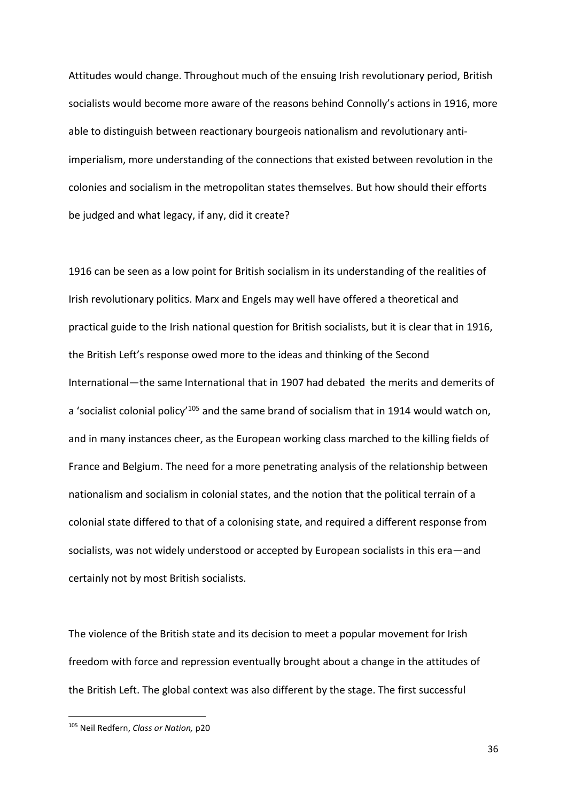Attitudes would change. Throughout much of the ensuing Irish revolutionary period, British socialists would become more aware of the reasons behind Connolly's actions in 1916, more able to distinguish between reactionary bourgeois nationalism and revolutionary antiimperialism, more understanding of the connections that existed between revolution in the colonies and socialism in the metropolitan states themselves. But how should their efforts be judged and what legacy, if any, did it create?

1916 can be seen as a low point for British socialism in its understanding of the realities of Irish revolutionary politics. Marx and Engels may well have offered a theoretical and practical guide to the Irish national question for British socialists, but it is clear that in 1916, the British Left's response owed more to the ideas and thinking of the Second International—the same International that in 1907 had debated the merits and demerits of a 'socialist colonial policy<sup>105</sup> and the same brand of socialism that in 1914 would watch on, and in many instances cheer, as the European working class marched to the killing fields of France and Belgium. The need for a more penetrating analysis of the relationship between nationalism and socialism in colonial states, and the notion that the political terrain of a colonial state differed to that of a colonising state, and required a different response from socialists, was not widely understood or accepted by European socialists in this era—and certainly not by most British socialists.

The violence of the British state and its decision to meet a popular movement for Irish freedom with force and repression eventually brought about a change in the attitudes of the British Left. The global context was also different by the stage. The first successful

<sup>105</sup> Neil Redfern, *Class or Nation,* p20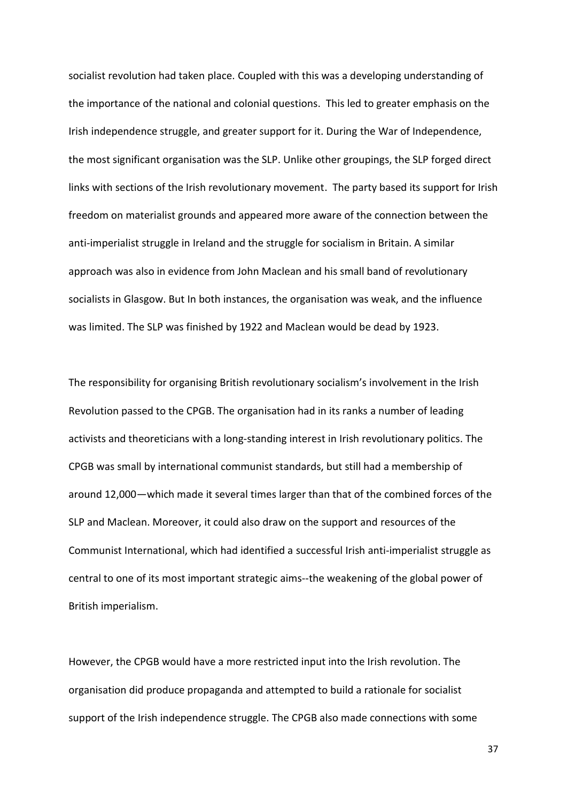socialist revolution had taken place. Coupled with this was a developing understanding of the importance of the national and colonial questions. This led to greater emphasis on the Irish independence struggle, and greater support for it. During the War of Independence, the most significant organisation was the SLP. Unlike other groupings, the SLP forged direct links with sections of the Irish revolutionary movement. The party based its support for Irish freedom on materialist grounds and appeared more aware of the connection between the anti-imperialist struggle in Ireland and the struggle for socialism in Britain. A similar approach was also in evidence from John Maclean and his small band of revolutionary socialists in Glasgow. But In both instances, the organisation was weak, and the influence was limited. The SLP was finished by 1922 and Maclean would be dead by 1923.

The responsibility for organising British revolutionary socialism's involvement in the Irish Revolution passed to the CPGB. The organisation had in its ranks a number of leading activists and theoreticians with a long-standing interest in Irish revolutionary politics. The CPGB was small by international communist standards, but still had a membership of around 12,000—which made it several times larger than that of the combined forces of the SLP and Maclean. Moreover, it could also draw on the support and resources of the Communist International, which had identified a successful Irish anti-imperialist struggle as central to one of its most important strategic aims--the weakening of the global power of British imperialism.

However, the CPGB would have a more restricted input into the Irish revolution. The organisation did produce propaganda and attempted to build a rationale for socialist support of the Irish independence struggle. The CPGB also made connections with some

37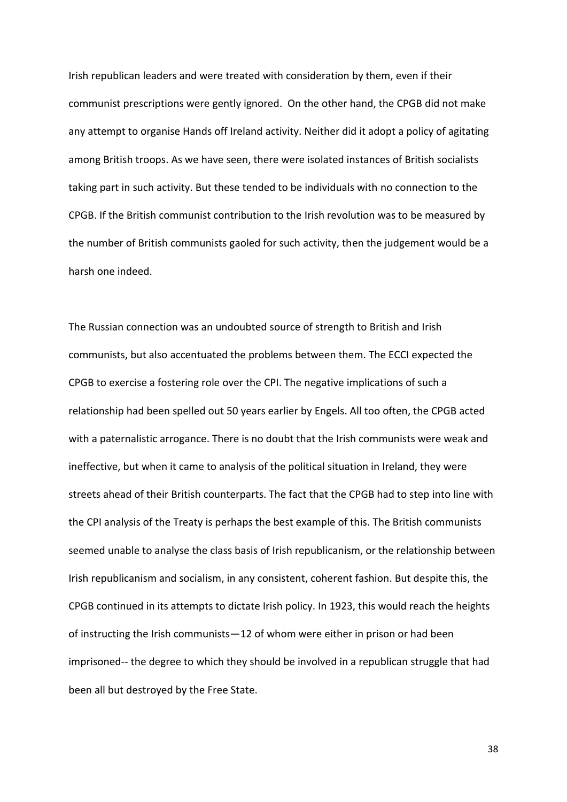Irish republican leaders and were treated with consideration by them, even if their communist prescriptions were gently ignored. On the other hand, the CPGB did not make any attempt to organise Hands off Ireland activity. Neither did it adopt a policy of agitating among British troops. As we have seen, there were isolated instances of British socialists taking part in such activity. But these tended to be individuals with no connection to the CPGB. If the British communist contribution to the Irish revolution was to be measured by the number of British communists gaoled for such activity, then the judgement would be a harsh one indeed.

The Russian connection was an undoubted source of strength to British and Irish communists, but also accentuated the problems between them. The ECCI expected the CPGB to exercise a fostering role over the CPI. The negative implications of such a relationship had been spelled out 50 years earlier by Engels. All too often, the CPGB acted with a paternalistic arrogance. There is no doubt that the Irish communists were weak and ineffective, but when it came to analysis of the political situation in Ireland, they were streets ahead of their British counterparts. The fact that the CPGB had to step into line with the CPI analysis of the Treaty is perhaps the best example of this. The British communists seemed unable to analyse the class basis of Irish republicanism, or the relationship between Irish republicanism and socialism, in any consistent, coherent fashion. But despite this, the CPGB continued in its attempts to dictate Irish policy. In 1923, this would reach the heights of instructing the Irish communists—12 of whom were either in prison or had been imprisoned-- the degree to which they should be involved in a republican struggle that had been all but destroyed by the Free State.

38